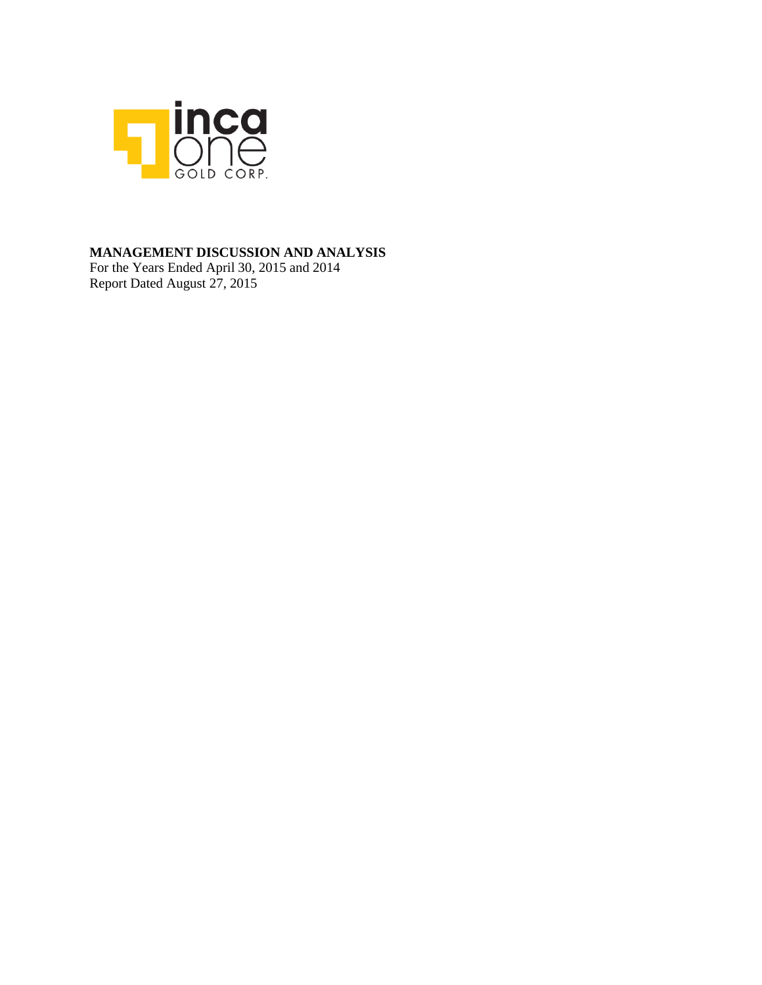

## **MANAGEMENT DISCUSSION AND ANALYSIS**

For the Years Ended April 30, 2015 and 2014 Report Dated August 27, 2015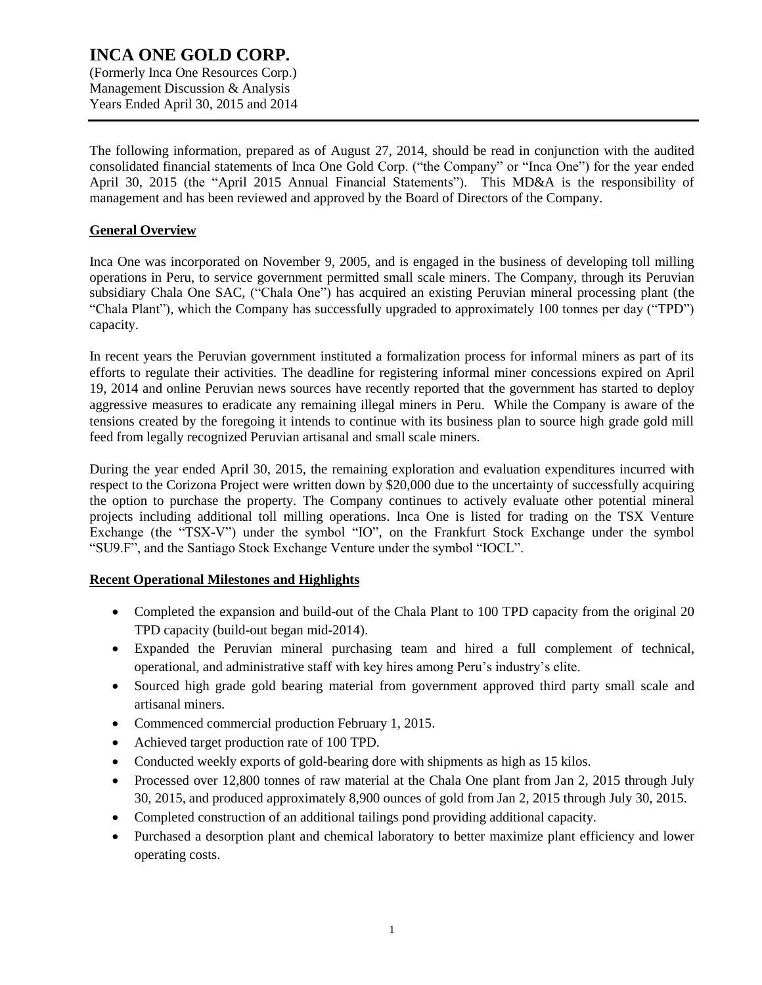### **INCA ONE GOLD CORP.** (Formerly Inca One Resources Corp.) Management Discussion & Analysis Years Ended April 30, 2015 and 2014

The following information, prepared as of August 27, 2014, should be read in conjunction with the audited consolidated financial statements of Inca One Gold Corp. ("the Company" or "Inca One") for the year ended April 30, 2015 (the "April 2015 Annual Financial Statements"). This MD&A is the responsibility of management and has been reviewed and approved by the Board of Directors of the Company.

### **General Overview**

Inca One was incorporated on November 9, 2005, and is engaged in the business of developing toll milling operations in Peru, to service government permitted small scale miners. The Company, through its Peruvian subsidiary Chala One SAC, ("Chala One") has acquired an existing Peruvian mineral processing plant (the "Chala Plant"), which the Company has successfully upgraded to approximately 100 tonnes per day ("TPD") capacity.

In recent years the Peruvian government instituted a formalization process for informal miners as part of its efforts to regulate their activities. The deadline for registering informal miner concessions expired on April 19, 2014 and online Peruvian news sources have recently reported that the government has started to deploy aggressive measures to eradicate any remaining illegal miners in Peru. While the Company is aware of the tensions created by the foregoing it intends to continue with its business plan to source high grade gold mill feed from legally recognized Peruvian artisanal and small scale miners.

During the year ended April 30, 2015, the remaining exploration and evaluation expenditures incurred with respect to the Corizona Project were written down by \$20,000 due to the uncertainty of successfully acquiring the option to purchase the property. The Company continues to actively evaluate other potential mineral projects including additional toll milling operations. Inca One is listed for trading on the TSX Venture Exchange (the "TSX-V") under the symbol "IO", on the Frankfurt Stock Exchange under the symbol "SU9.F", and the Santiago Stock Exchange Venture under the symbol "IOCL".

#### **Recent Operational Milestones and Highlights**

- Completed the expansion and build-out of the Chala Plant to 100 TPD capacity from the original 20 TPD capacity (build-out began mid-2014).
- Expanded the Peruvian mineral purchasing team and hired a full complement of technical, operational, and administrative staff with key hires among Peru's industry's elite.
- Sourced high grade gold bearing material from government approved third party small scale and artisanal miners.
- Commenced commercial production February 1, 2015.
- Achieved target production rate of 100 TPD.
- Conducted weekly exports of gold-bearing dore with shipments as high as 15 kilos.
- Processed over 12,800 tonnes of raw material at the Chala One plant from Jan 2, 2015 through July 30, 2015, and produced approximately 8,900 ounces of gold from Jan 2, 2015 through July 30, 2015.
- Completed construction of an additional tailings pond providing additional capacity.
- Purchased a desorption plant and chemical laboratory to better maximize plant efficiency and lower operating costs.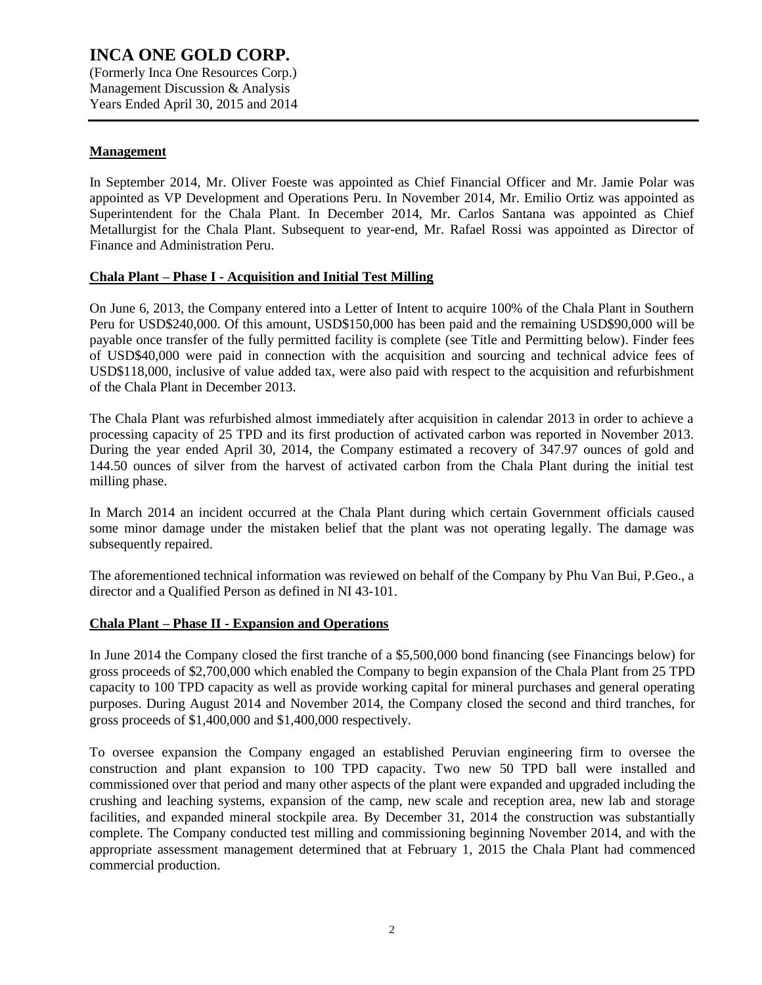Years Ended April 30, 2015 and 2014

### **Management**

In September 2014, Mr. Oliver Foeste was appointed as Chief Financial Officer and Mr. Jamie Polar was appointed as VP Development and Operations Peru. In November 2014, Mr. Emilio Ortiz was appointed as Superintendent for the Chala Plant. In December 2014, Mr. Carlos Santana was appointed as Chief Metallurgist for the Chala Plant. Subsequent to year-end, Mr. Rafael Rossi was appointed as Director of Finance and Administration Peru.

#### **Chala Plant – Phase I - Acquisition and Initial Test Milling**

On June 6, 2013, the Company entered into a Letter of Intent to acquire 100% of the Chala Plant in Southern Peru for USD\$240,000. Of this amount, USD\$150,000 has been paid and the remaining USD\$90,000 will be payable once transfer of the fully permitted facility is complete (see Title and Permitting below). Finder fees of USD\$40,000 were paid in connection with the acquisition and sourcing and technical advice fees of USD\$118,000, inclusive of value added tax, were also paid with respect to the acquisition and refurbishment of the Chala Plant in December 2013.

The Chala Plant was refurbished almost immediately after acquisition in calendar 2013 in order to achieve a processing capacity of 25 TPD and its first production of activated carbon was reported in November 2013. During the year ended April 30, 2014, the Company estimated a recovery of 347.97 ounces of gold and 144.50 ounces of silver from the harvest of activated carbon from the Chala Plant during the initial test milling phase.

In March 2014 an incident occurred at the Chala Plant during which certain Government officials caused some minor damage under the mistaken belief that the plant was not operating legally. The damage was subsequently repaired.

The aforementioned technical information was reviewed on behalf of the Company by Phu Van Bui, P.Geo., a director and a Qualified Person as defined in NI 43-101.

#### **Chala Plant – Phase II - Expansion and Operations**

In June 2014 the Company closed the first tranche of a \$5,500,000 bond financing (see Financings below) for gross proceeds of \$2,700,000 which enabled the Company to begin expansion of the Chala Plant from 25 TPD capacity to 100 TPD capacity as well as provide working capital for mineral purchases and general operating purposes. During August 2014 and November 2014, the Company closed the second and third tranches, for gross proceeds of \$1,400,000 and \$1,400,000 respectively.

To oversee expansion the Company engaged an established Peruvian engineering firm to oversee the construction and plant expansion to 100 TPD capacity. Two new 50 TPD ball were installed and commissioned over that period and many other aspects of the plant were expanded and upgraded including the crushing and leaching systems, expansion of the camp, new scale and reception area, new lab and storage facilities, and expanded mineral stockpile area. By December 31, 2014 the construction was substantially complete. The Company conducted test milling and commissioning beginning November 2014, and with the appropriate assessment management determined that at February 1, 2015 the Chala Plant had commenced commercial production.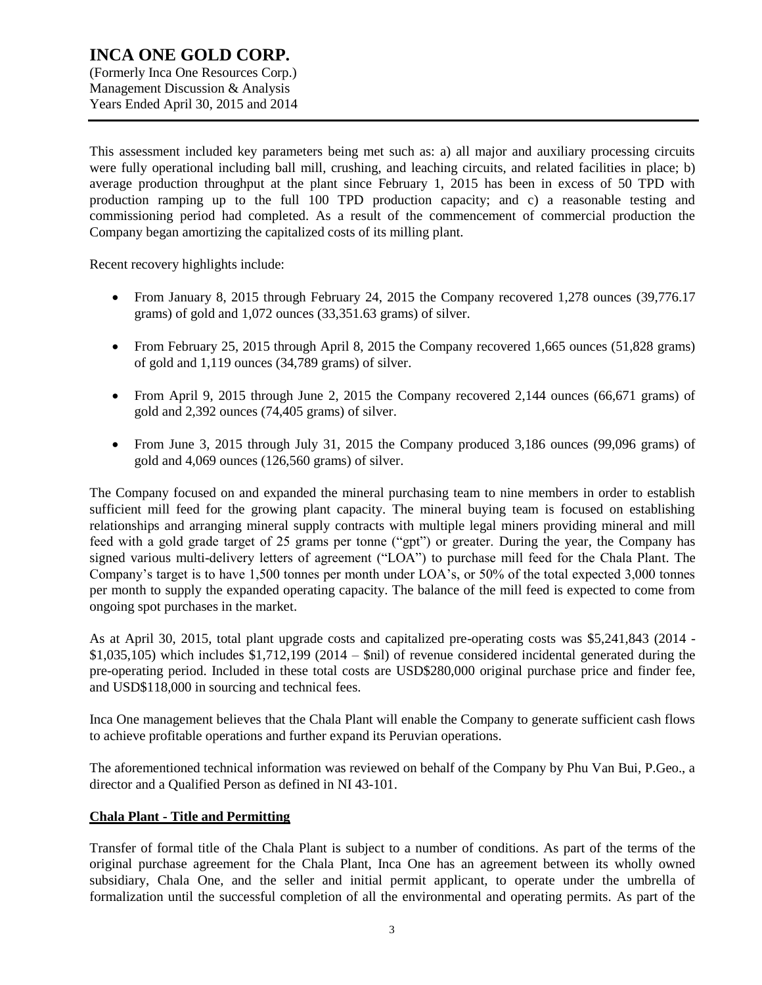Years Ended April 30, 2015 and 2014

This assessment included key parameters being met such as: a) all major and auxiliary processing circuits were fully operational including ball mill, crushing, and leaching circuits, and related facilities in place; b) average production throughput at the plant since February 1, 2015 has been in excess of 50 TPD with production ramping up to the full 100 TPD production capacity; and c) a reasonable testing and commissioning period had completed. As a result of the commencement of commercial production the Company began amortizing the capitalized costs of its milling plant.

Recent recovery highlights include:

- From January 8, 2015 through February 24, 2015 the Company recovered 1,278 ounces (39,776.17 grams) of gold and 1,072 ounces (33,351.63 grams) of silver.
- From February 25, 2015 through April 8, 2015 the Company recovered 1,665 ounces (51,828 grams) of gold and 1,119 ounces (34,789 grams) of silver.
- From April 9, 2015 through June 2, 2015 the Company recovered 2,144 ounces (66,671 grams) of gold and 2,392 ounces (74,405 grams) of silver.
- From June 3, 2015 through July 31, 2015 the Company produced 3,186 ounces (99,096 grams) of gold and 4,069 ounces (126,560 grams) of silver.

The Company focused on and expanded the mineral purchasing team to nine members in order to establish sufficient mill feed for the growing plant capacity. The mineral buying team is focused on establishing relationships and arranging mineral supply contracts with multiple legal miners providing mineral and mill feed with a gold grade target of 25 grams per tonne ("gpt") or greater. During the year, the Company has signed various multi-delivery letters of agreement ("LOA") to purchase mill feed for the Chala Plant. The Company's target is to have 1,500 tonnes per month under LOA's, or 50% of the total expected 3,000 tonnes per month to supply the expanded operating capacity. The balance of the mill feed is expected to come from ongoing spot purchases in the market.

As at April 30, 2015, total plant upgrade costs and capitalized pre-operating costs was \$5,241,843 (2014 -  $$1,035,105$ ) which includes  $$1,712,199$  (2014 –  $$nil$ ) of revenue considered incidental generated during the pre-operating period. Included in these total costs are USD\$280,000 original purchase price and finder fee, and USD\$118,000 in sourcing and technical fees.

Inca One management believes that the Chala Plant will enable the Company to generate sufficient cash flows to achieve profitable operations and further expand its Peruvian operations.

The aforementioned technical information was reviewed on behalf of the Company by Phu Van Bui, P.Geo., a director and a Qualified Person as defined in NI 43-101.

#### **Chala Plant - Title and Permitting**

Transfer of formal title of the Chala Plant is subject to a number of conditions. As part of the terms of the original purchase agreement for the Chala Plant, Inca One has an agreement between its wholly owned subsidiary, Chala One, and the seller and initial permit applicant, to operate under the umbrella of formalization until the successful completion of all the environmental and operating permits. As part of the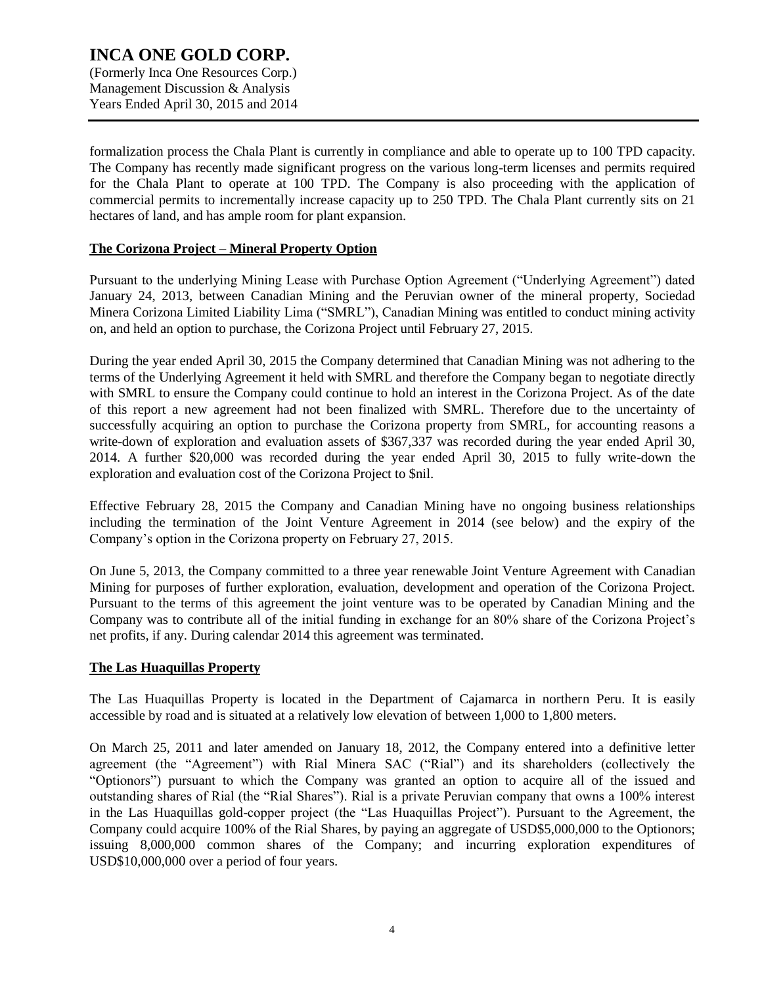formalization process the Chala Plant is currently in compliance and able to operate up to 100 TPD capacity. The Company has recently made significant progress on the various long-term licenses and permits required for the Chala Plant to operate at 100 TPD. The Company is also proceeding with the application of commercial permits to incrementally increase capacity up to 250 TPD. The Chala Plant currently sits on 21 hectares of land, and has ample room for plant expansion.

#### **The Corizona Project – Mineral Property Option**

Pursuant to the underlying Mining Lease with Purchase Option Agreement ("Underlying Agreement") dated January 24, 2013, between Canadian Mining and the Peruvian owner of the mineral property, Sociedad Minera Corizona Limited Liability Lima ("SMRL"), Canadian Mining was entitled to conduct mining activity on, and held an option to purchase, the Corizona Project until February 27, 2015.

During the year ended April 30, 2015 the Company determined that Canadian Mining was not adhering to the terms of the Underlying Agreement it held with SMRL and therefore the Company began to negotiate directly with SMRL to ensure the Company could continue to hold an interest in the Corizona Project. As of the date of this report a new agreement had not been finalized with SMRL. Therefore due to the uncertainty of successfully acquiring an option to purchase the Corizona property from SMRL, for accounting reasons a write-down of exploration and evaluation assets of \$367,337 was recorded during the year ended April 30, 2014. A further \$20,000 was recorded during the year ended April 30, 2015 to fully write-down the exploration and evaluation cost of the Corizona Project to \$nil.

Effective February 28, 2015 the Company and Canadian Mining have no ongoing business relationships including the termination of the Joint Venture Agreement in 2014 (see below) and the expiry of the Company's option in the Corizona property on February 27, 2015.

On June 5, 2013, the Company committed to a three year renewable Joint Venture Agreement with Canadian Mining for purposes of further exploration, evaluation, development and operation of the Corizona Project. Pursuant to the terms of this agreement the joint venture was to be operated by Canadian Mining and the Company was to contribute all of the initial funding in exchange for an 80% share of the Corizona Project's net profits, if any. During calendar 2014 this agreement was terminated.

#### **The Las Huaquillas Property**

The Las Huaquillas Property is located in the Department of Cajamarca in northern Peru. It is easily accessible by road and is situated at a relatively low elevation of between 1,000 to 1,800 meters.

On March 25, 2011 and later amended on January 18, 2012, the Company entered into a definitive letter agreement (the "Agreement") with Rial Minera SAC ("Rial") and its shareholders (collectively the "Optionors") pursuant to which the Company was granted an option to acquire all of the issued and outstanding shares of Rial (the "Rial Shares"). Rial is a private Peruvian company that owns a 100% interest in the Las Huaquillas gold-copper project (the "Las Huaquillas Project"). Pursuant to the Agreement, the Company could acquire 100% of the Rial Shares, by paying an aggregate of USD\$5,000,000 to the Optionors; issuing 8,000,000 common shares of the Company; and incurring exploration expenditures of USD\$10,000,000 over a period of four years.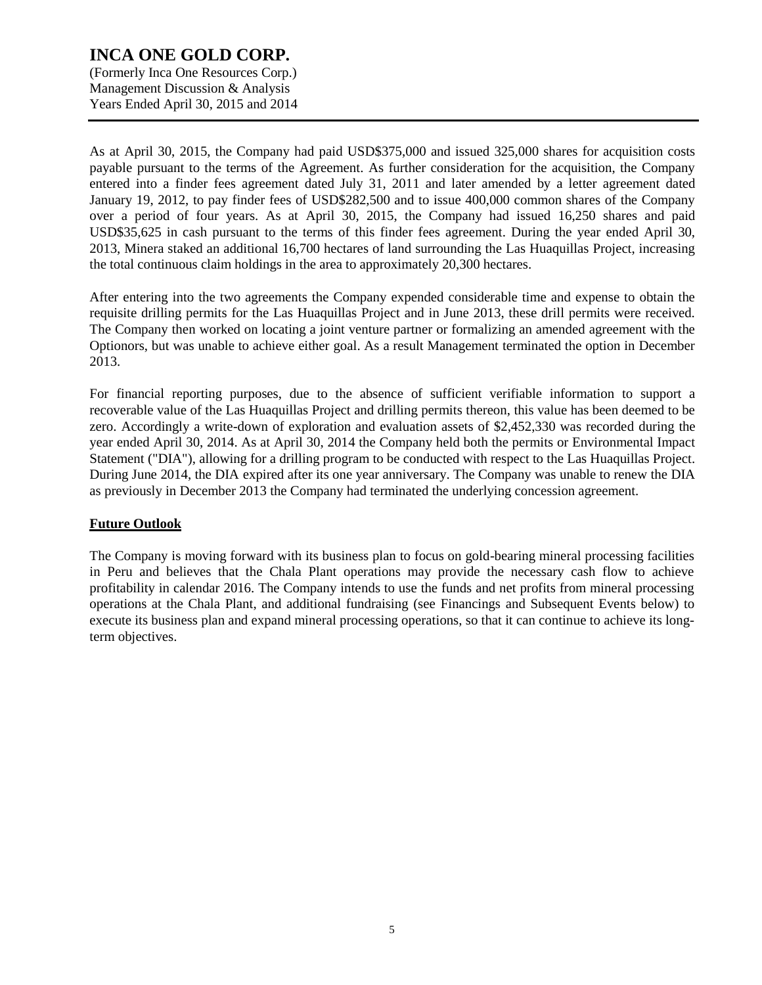(Formerly Inca One Resources Corp.) Management Discussion & Analysis Years Ended April 30, 2015 and 2014

As at April 30, 2015, the Company had paid USD\$375,000 and issued 325,000 shares for acquisition costs payable pursuant to the terms of the Agreement. As further consideration for the acquisition, the Company entered into a finder fees agreement dated July 31, 2011 and later amended by a letter agreement dated January 19, 2012, to pay finder fees of USD\$282,500 and to issue 400,000 common shares of the Company over a period of four years. As at April 30, 2015, the Company had issued 16,250 shares and paid USD\$35,625 in cash pursuant to the terms of this finder fees agreement. During the year ended April 30, 2013, Minera staked an additional 16,700 hectares of land surrounding the Las Huaquillas Project, increasing the total continuous claim holdings in the area to approximately 20,300 hectares.

After entering into the two agreements the Company expended considerable time and expense to obtain the requisite drilling permits for the Las Huaquillas Project and in June 2013, these drill permits were received. The Company then worked on locating a joint venture partner or formalizing an amended agreement with the Optionors, but was unable to achieve either goal. As a result Management terminated the option in December 2013.

For financial reporting purposes, due to the absence of sufficient verifiable information to support a recoverable value of the Las Huaquillas Project and drilling permits thereon, this value has been deemed to be zero. Accordingly a write-down of exploration and evaluation assets of \$2,452,330 was recorded during the year ended April 30, 2014. As at April 30, 2014 the Company held both the permits or Environmental Impact Statement ("DIA"), allowing for a drilling program to be conducted with respect to the Las Huaquillas Project. During June 2014, the DIA expired after its one year anniversary. The Company was unable to renew the DIA as previously in December 2013 the Company had terminated the underlying concession agreement.

### **Future Outlook**

The Company is moving forward with its business plan to focus on gold-bearing mineral processing facilities in Peru and believes that the Chala Plant operations may provide the necessary cash flow to achieve profitability in calendar 2016. The Company intends to use the funds and net profits from mineral processing operations at the Chala Plant, and additional fundraising (see Financings and Subsequent Events below) to execute its business plan and expand mineral processing operations, so that it can continue to achieve its longterm objectives.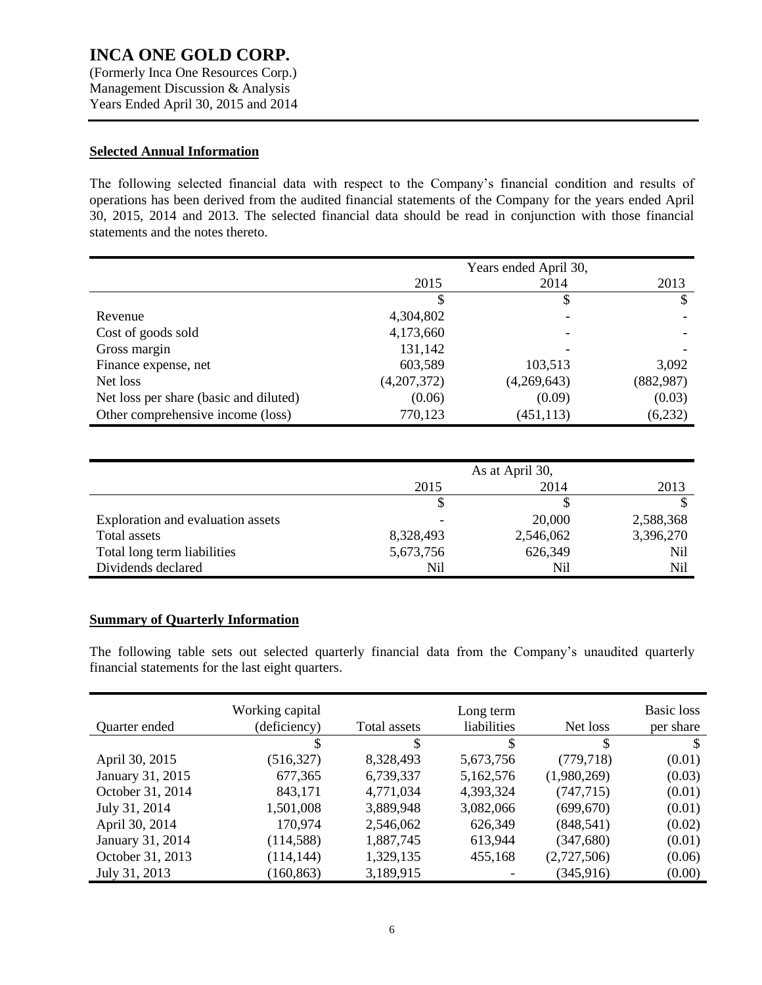(Formerly Inca One Resources Corp.) Management Discussion & Analysis Years Ended April 30, 2015 and 2014

#### **Selected Annual Information**

The following selected financial data with respect to the Company's financial condition and results of operations has been derived from the audited financial statements of the Company for the years ended April 30, 2015, 2014 and 2013. The selected financial data should be read in conjunction with those financial statements and the notes thereto.

|                                        | Years ended April 30, |             |            |
|----------------------------------------|-----------------------|-------------|------------|
|                                        | 2015                  | 2014        | 2013       |
|                                        |                       | S           |            |
| Revenue                                | 4,304,802             |             |            |
| Cost of goods sold                     | 4,173,660             |             |            |
| Gross margin                           | 131,142               |             |            |
| Finance expense, net                   | 603,589               | 103,513     | 3,092      |
| Net loss                               | (4,207,372)           | (4,269,643) | (882, 987) |
| Net loss per share (basic and diluted) | (0.06)                | (0.09)      | (0.03)     |
| Other comprehensive income (loss)      | 770,123               | (451, 113)  | (6,232)    |

|                                   | As at April 30, |           |           |
|-----------------------------------|-----------------|-----------|-----------|
|                                   | 2014<br>2015    |           | 2013      |
|                                   |                 |           |           |
| Exploration and evaluation assets | -               | 20,000    | 2,588,368 |
| Total assets                      | 8,328,493       | 2,546,062 | 3,396,270 |
| Total long term liabilities       | 5,673,756       | 626,349   | Nil       |
| Dividends declared                | Nil             | Nil       | Nil       |

#### **Summary of Quarterly Information**

The following table sets out selected quarterly financial data from the Company's unaudited quarterly financial statements for the last eight quarters.

| Quarter ended    | Working capital<br>(deficiency) | Total assets | Long term<br>liabilities | Net loss    | Basic loss<br>per share |
|------------------|---------------------------------|--------------|--------------------------|-------------|-------------------------|
|                  |                                 | S            |                          | \$          | S                       |
| April 30, 2015   | (516, 327)                      | 8,328,493    | 5,673,756                | (779, 718)  | (0.01)                  |
| January 31, 2015 | 677,365                         | 6,739,337    | 5,162,576                | (1,980,269) | (0.03)                  |
| October 31, 2014 | 843,171                         | 4,771,034    | 4,393,324                | (747, 715)  | (0.01)                  |
| July 31, 2014    | 1,501,008                       | 3,889,948    | 3,082,066                | (699, 670)  | (0.01)                  |
| April 30, 2014   | 170,974                         | 2,546,062    | 626,349                  | (848, 541)  | (0.02)                  |
| January 31, 2014 | (114, 588)                      | 1,887,745    | 613,944                  | (347, 680)  | (0.01)                  |
| October 31, 2013 | (114, 144)                      | 1,329,135    | 455,168                  | (2,727,506) | (0.06)                  |
| July 31, 2013    | (160, 863)                      | 3,189,915    |                          | (345, 916)  | (0.00)                  |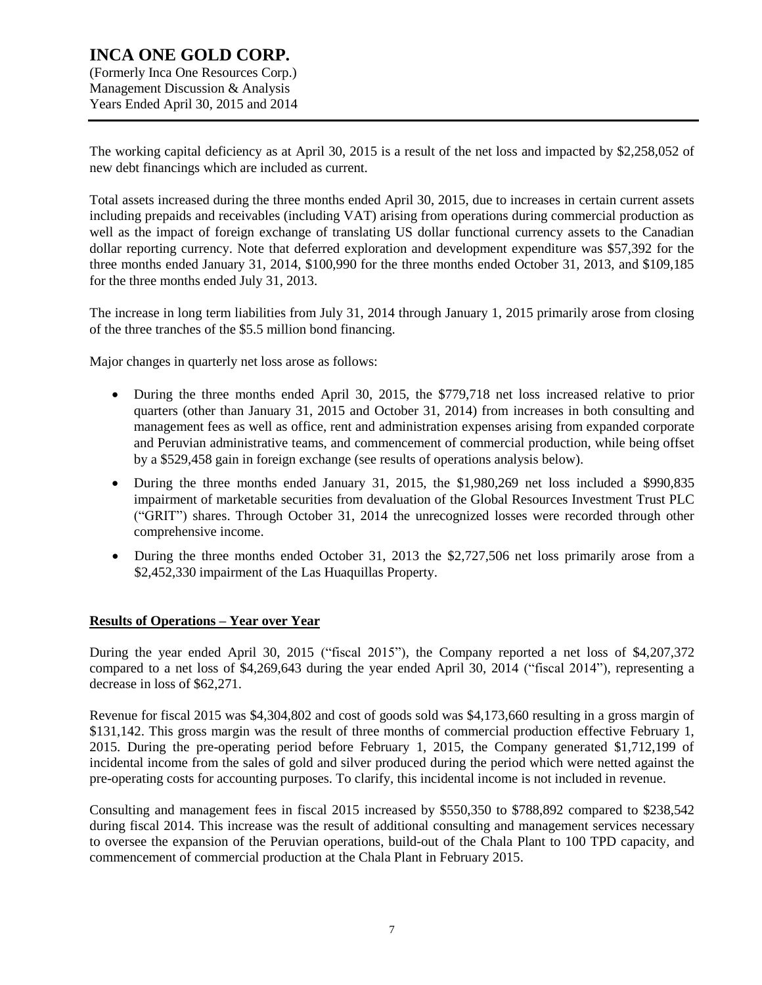(Formerly Inca One Resources Corp.) Management Discussion & Analysis Years Ended April 30, 2015 and 2014

The working capital deficiency as at April 30, 2015 is a result of the net loss and impacted by \$2,258,052 of new debt financings which are included as current.

Total assets increased during the three months ended April 30, 2015, due to increases in certain current assets including prepaids and receivables (including VAT) arising from operations during commercial production as well as the impact of foreign exchange of translating US dollar functional currency assets to the Canadian dollar reporting currency. Note that deferred exploration and development expenditure was \$57,392 for the three months ended January 31, 2014, \$100,990 for the three months ended October 31, 2013, and \$109,185 for the three months ended July 31, 2013.

The increase in long term liabilities from July 31, 2014 through January 1, 2015 primarily arose from closing of the three tranches of the \$5.5 million bond financing.

Major changes in quarterly net loss arose as follows:

- During the three months ended April 30, 2015, the \$779,718 net loss increased relative to prior quarters (other than January 31, 2015 and October 31, 2014) from increases in both consulting and management fees as well as office, rent and administration expenses arising from expanded corporate and Peruvian administrative teams, and commencement of commercial production, while being offset by a \$529,458 gain in foreign exchange (see results of operations analysis below).
- During the three months ended January 31, 2015, the \$1,980,269 net loss included a \$990,835 impairment of marketable securities from devaluation of the Global Resources Investment Trust PLC ("GRIT") shares. Through October 31, 2014 the unrecognized losses were recorded through other comprehensive income.
- During the three months ended October 31, 2013 the \$2,727,506 net loss primarily arose from a \$2,452,330 impairment of the Las Huaquillas Property.

#### **Results of Operations – Year over Year**

During the year ended April 30, 2015 ("fiscal 2015"), the Company reported a net loss of \$4,207,372 compared to a net loss of \$4,269,643 during the year ended April 30, 2014 ("fiscal 2014"), representing a decrease in loss of \$62,271.

Revenue for fiscal 2015 was \$4,304,802 and cost of goods sold was \$4,173,660 resulting in a gross margin of \$131,142. This gross margin was the result of three months of commercial production effective February 1, 2015. During the pre-operating period before February 1, 2015, the Company generated \$1,712,199 of incidental income from the sales of gold and silver produced during the period which were netted against the pre-operating costs for accounting purposes. To clarify, this incidental income is not included in revenue.

Consulting and management fees in fiscal 2015 increased by \$550,350 to \$788,892 compared to \$238,542 during fiscal 2014. This increase was the result of additional consulting and management services necessary to oversee the expansion of the Peruvian operations, build-out of the Chala Plant to 100 TPD capacity, and commencement of commercial production at the Chala Plant in February 2015.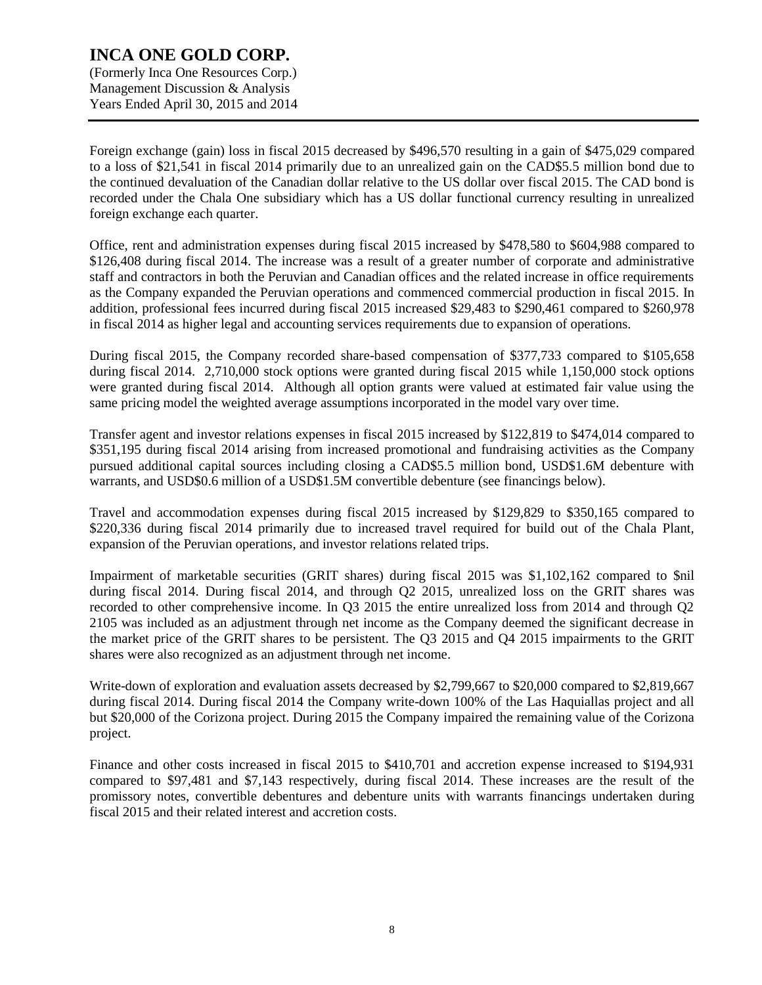(Formerly Inca One Resources Corp.) Management Discussion & Analysis Years Ended April 30, 2015 and 2014

Foreign exchange (gain) loss in fiscal 2015 decreased by \$496,570 resulting in a gain of \$475,029 compared to a loss of \$21,541 in fiscal 2014 primarily due to an unrealized gain on the CAD\$5.5 million bond due to the continued devaluation of the Canadian dollar relative to the US dollar over fiscal 2015. The CAD bond is recorded under the Chala One subsidiary which has a US dollar functional currency resulting in unrealized foreign exchange each quarter.

Office, rent and administration expenses during fiscal 2015 increased by \$478,580 to \$604,988 compared to \$126,408 during fiscal 2014. The increase was a result of a greater number of corporate and administrative staff and contractors in both the Peruvian and Canadian offices and the related increase in office requirements as the Company expanded the Peruvian operations and commenced commercial production in fiscal 2015. In addition, professional fees incurred during fiscal 2015 increased \$29,483 to \$290,461 compared to \$260,978 in fiscal 2014 as higher legal and accounting services requirements due to expansion of operations.

During fiscal 2015, the Company recorded share-based compensation of \$377,733 compared to \$105,658 during fiscal 2014. 2,710,000 stock options were granted during fiscal 2015 while 1,150,000 stock options were granted during fiscal 2014. Although all option grants were valued at estimated fair value using the same pricing model the weighted average assumptions incorporated in the model vary over time.

Transfer agent and investor relations expenses in fiscal 2015 increased by \$122,819 to \$474,014 compared to \$351,195 during fiscal 2014 arising from increased promotional and fundraising activities as the Company pursued additional capital sources including closing a CAD\$5.5 million bond, USD\$1.6M debenture with warrants, and USD\$0.6 million of a USD\$1.5M convertible debenture (see financings below).

Travel and accommodation expenses during fiscal 2015 increased by \$129,829 to \$350,165 compared to \$220,336 during fiscal 2014 primarily due to increased travel required for build out of the Chala Plant, expansion of the Peruvian operations, and investor relations related trips.

Impairment of marketable securities (GRIT shares) during fiscal 2015 was \$1,102,162 compared to \$nil during fiscal 2014. During fiscal 2014, and through Q2 2015, unrealized loss on the GRIT shares was recorded to other comprehensive income. In Q3 2015 the entire unrealized loss from 2014 and through Q2 2105 was included as an adjustment through net income as the Company deemed the significant decrease in the market price of the GRIT shares to be persistent. The Q3 2015 and Q4 2015 impairments to the GRIT shares were also recognized as an adjustment through net income.

Write-down of exploration and evaluation assets decreased by \$2,799,667 to \$20,000 compared to \$2,819,667 during fiscal 2014. During fiscal 2014 the Company write-down 100% of the Las Haquiallas project and all but \$20,000 of the Corizona project. During 2015 the Company impaired the remaining value of the Corizona project.

Finance and other costs increased in fiscal 2015 to \$410,701 and accretion expense increased to \$194,931 compared to \$97,481 and \$7,143 respectively, during fiscal 2014. These increases are the result of the promissory notes, convertible debentures and debenture units with warrants financings undertaken during fiscal 2015 and their related interest and accretion costs.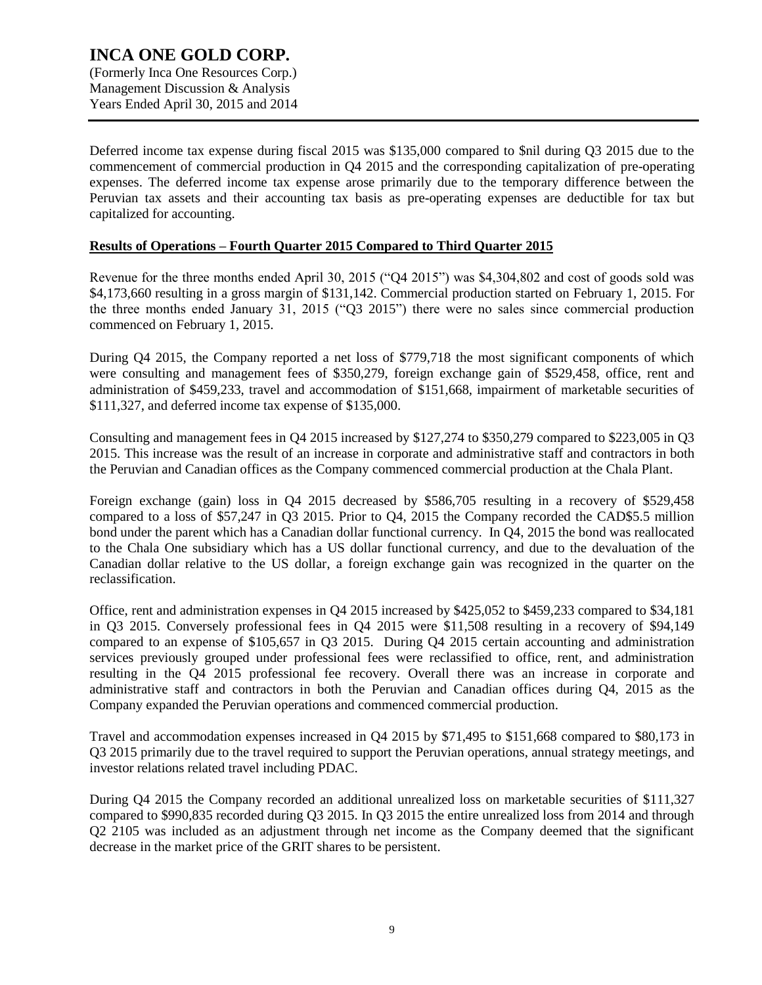Deferred income tax expense during fiscal 2015 was \$135,000 compared to \$nil during Q3 2015 due to the commencement of commercial production in Q4 2015 and the corresponding capitalization of pre-operating expenses. The deferred income tax expense arose primarily due to the temporary difference between the Peruvian tax assets and their accounting tax basis as pre-operating expenses are deductible for tax but capitalized for accounting.

#### **Results of Operations – Fourth Quarter 2015 Compared to Third Quarter 2015**

Revenue for the three months ended April 30, 2015 ("Q4 2015") was \$4,304,802 and cost of goods sold was \$4,173,660 resulting in a gross margin of \$131,142. Commercial production started on February 1, 2015. For the three months ended January 31, 2015 ("Q3 2015") there were no sales since commercial production commenced on February 1, 2015.

During Q4 2015, the Company reported a net loss of \$779,718 the most significant components of which were consulting and management fees of \$350,279, foreign exchange gain of \$529,458, office, rent and administration of \$459,233, travel and accommodation of \$151,668, impairment of marketable securities of \$111,327, and deferred income tax expense of \$135,000.

Consulting and management fees in Q4 2015 increased by \$127,274 to \$350,279 compared to \$223,005 in Q3 2015. This increase was the result of an increase in corporate and administrative staff and contractors in both the Peruvian and Canadian offices as the Company commenced commercial production at the Chala Plant.

Foreign exchange (gain) loss in Q4 2015 decreased by \$586,705 resulting in a recovery of \$529,458 compared to a loss of \$57,247 in Q3 2015. Prior to Q4, 2015 the Company recorded the CAD\$5.5 million bond under the parent which has a Canadian dollar functional currency. In Q4, 2015 the bond was reallocated to the Chala One subsidiary which has a US dollar functional currency, and due to the devaluation of the Canadian dollar relative to the US dollar, a foreign exchange gain was recognized in the quarter on the reclassification.

Office, rent and administration expenses in Q4 2015 increased by \$425,052 to \$459,233 compared to \$34,181 in Q3 2015. Conversely professional fees in Q4 2015 were \$11,508 resulting in a recovery of \$94,149 compared to an expense of \$105,657 in Q3 2015. During Q4 2015 certain accounting and administration services previously grouped under professional fees were reclassified to office, rent, and administration resulting in the Q4 2015 professional fee recovery. Overall there was an increase in corporate and administrative staff and contractors in both the Peruvian and Canadian offices during Q4, 2015 as the Company expanded the Peruvian operations and commenced commercial production.

Travel and accommodation expenses increased in Q4 2015 by \$71,495 to \$151,668 compared to \$80,173 in Q3 2015 primarily due to the travel required to support the Peruvian operations, annual strategy meetings, and investor relations related travel including PDAC.

During Q4 2015 the Company recorded an additional unrealized loss on marketable securities of \$111,327 compared to \$990,835 recorded during Q3 2015. In Q3 2015 the entire unrealized loss from 2014 and through Q2 2105 was included as an adjustment through net income as the Company deemed that the significant decrease in the market price of the GRIT shares to be persistent.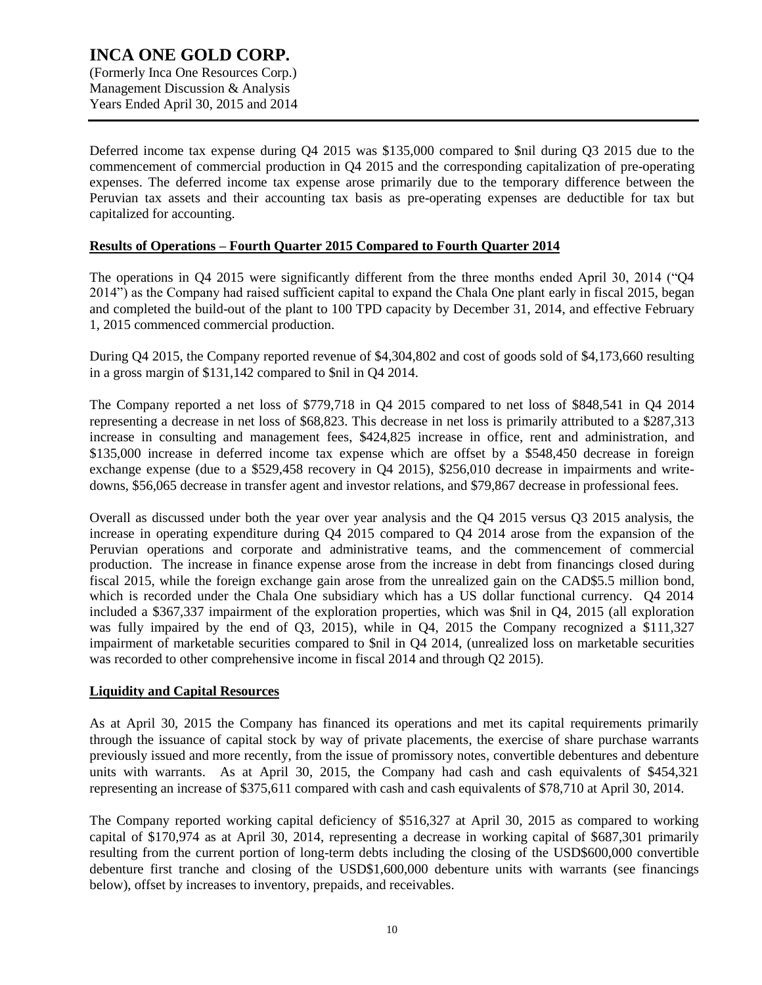### **INCA ONE GOLD CORP.** (Formerly Inca One Resources Corp.) Management Discussion & Analysis Years Ended April 30, 2015 and 2014

Deferred income tax expense during Q4 2015 was \$135,000 compared to \$nil during Q3 2015 due to the commencement of commercial production in Q4 2015 and the corresponding capitalization of pre-operating expenses. The deferred income tax expense arose primarily due to the temporary difference between the Peruvian tax assets and their accounting tax basis as pre-operating expenses are deductible for tax but capitalized for accounting.

#### **Results of Operations – Fourth Quarter 2015 Compared to Fourth Quarter 2014**

The operations in Q4 2015 were significantly different from the three months ended April 30, 2014 ("Q4 2014") as the Company had raised sufficient capital to expand the Chala One plant early in fiscal 2015, began and completed the build-out of the plant to 100 TPD capacity by December 31, 2014, and effective February 1, 2015 commenced commercial production.

During Q4 2015, the Company reported revenue of \$4,304,802 and cost of goods sold of \$4,173,660 resulting in a gross margin of \$131,142 compared to \$nil in Q4 2014.

The Company reported a net loss of \$779,718 in Q4 2015 compared to net loss of \$848,541 in Q4 2014 representing a decrease in net loss of \$68,823. This decrease in net loss is primarily attributed to a \$287,313 increase in consulting and management fees, \$424,825 increase in office, rent and administration, and \$135,000 increase in deferred income tax expense which are offset by a \$548,450 decrease in foreign exchange expense (due to a \$529,458 recovery in Q4 2015), \$256,010 decrease in impairments and writedowns, \$56,065 decrease in transfer agent and investor relations, and \$79,867 decrease in professional fees.

Overall as discussed under both the year over year analysis and the Q4 2015 versus Q3 2015 analysis, the increase in operating expenditure during Q4 2015 compared to Q4 2014 arose from the expansion of the Peruvian operations and corporate and administrative teams, and the commencement of commercial production. The increase in finance expense arose from the increase in debt from financings closed during fiscal 2015, while the foreign exchange gain arose from the unrealized gain on the CAD\$5.5 million bond, which is recorded under the Chala One subsidiary which has a US dollar functional currency. Q4 2014 included a \$367,337 impairment of the exploration properties, which was \$nil in Q4, 2015 (all exploration was fully impaired by the end of Q3, 2015), while in Q4, 2015 the Company recognized a \$111,327 impairment of marketable securities compared to \$nil in Q4 2014, (unrealized loss on marketable securities was recorded to other comprehensive income in fiscal 2014 and through Q2 2015).

#### **Liquidity and Capital Resources**

As at April 30, 2015 the Company has financed its operations and met its capital requirements primarily through the issuance of capital stock by way of private placements, the exercise of share purchase warrants previously issued and more recently, from the issue of promissory notes, convertible debentures and debenture units with warrants. As at April 30, 2015, the Company had cash and cash equivalents of \$454,321 representing an increase of \$375,611 compared with cash and cash equivalents of \$78,710 at April 30, 2014.

The Company reported working capital deficiency of \$516,327 at April 30, 2015 as compared to working capital of \$170,974 as at April 30, 2014, representing a decrease in working capital of \$687,301 primarily resulting from the current portion of long-term debts including the closing of the USD\$600,000 convertible debenture first tranche and closing of the USD\$1,600,000 debenture units with warrants (see financings below), offset by increases to inventory, prepaids, and receivables.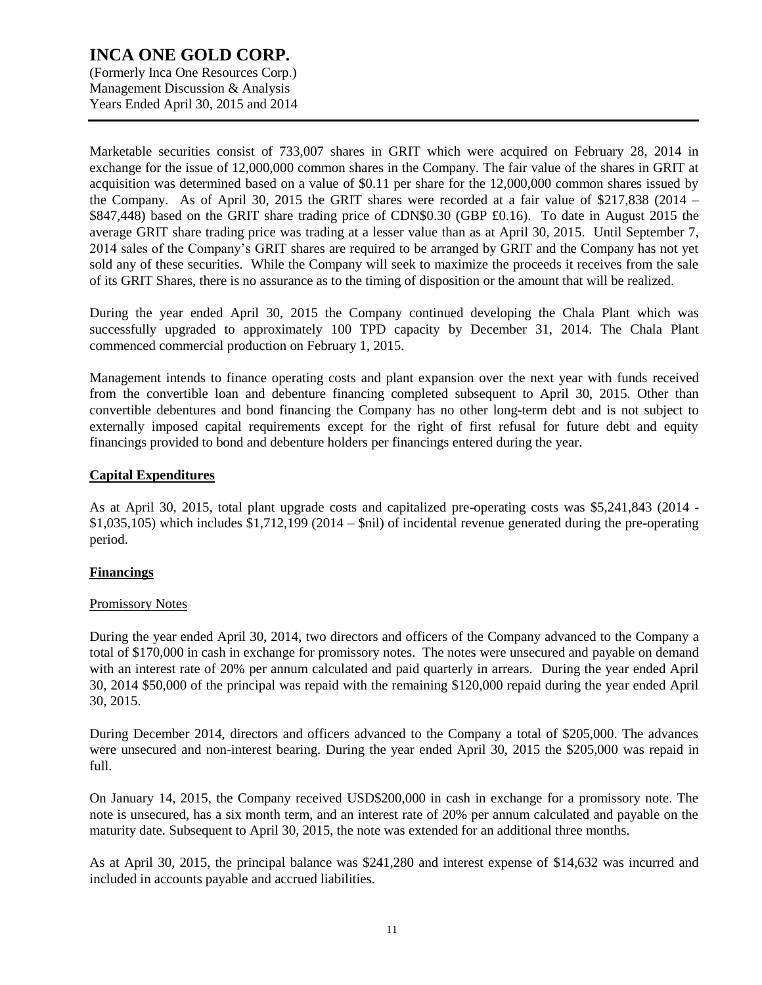(Formerly Inca One Resources Corp.) Management Discussion & Analysis Years Ended April 30, 2015 and 2014

Marketable securities consist of 733,007 shares in GRIT which were acquired on February 28, 2014 in exchange for the issue of 12,000,000 common shares in the Company. The fair value of the shares in GRIT at acquisition was determined based on a value of \$0.11 per share for the 12,000,000 common shares issued by the Company. As of April 30, 2015 the GRIT shares were recorded at a fair value of \$217,838 (2014 – \$847,448) based on the GRIT share trading price of CDN\$0.30 (GBP £0.16). To date in August 2015 the average GRIT share trading price was trading at a lesser value than as at April 30, 2015. Until September 7, 2014 sales of the Company's GRIT shares are required to be arranged by GRIT and the Company has not yet sold any of these securities. While the Company will seek to maximize the proceeds it receives from the sale of its GRIT Shares, there is no assurance as to the timing of disposition or the amount that will be realized.

During the year ended April 30, 2015 the Company continued developing the Chala Plant which was successfully upgraded to approximately 100 TPD capacity by December 31, 2014. The Chala Plant commenced commercial production on February 1, 2015.

Management intends to finance operating costs and plant expansion over the next year with funds received from the convertible loan and debenture financing completed subsequent to April 30, 2015. Other than convertible debentures and bond financing the Company has no other long-term debt and is not subject to externally imposed capital requirements except for the right of first refusal for future debt and equity financings provided to bond and debenture holders per financings entered during the year.

### **Capital Expenditures**

As at April 30, 2015, total plant upgrade costs and capitalized pre-operating costs was \$5,241,843 (2014 -  $$1,035,105$ ) which includes  $$1,712,199$  (2014 –  $$nil$ ) of incidental revenue generated during the pre-operating period.

### **Financings**

#### Promissory Notes

During the year ended April 30, 2014, two directors and officers of the Company advanced to the Company a total of \$170,000 in cash in exchange for promissory notes. The notes were unsecured and payable on demand with an interest rate of 20% per annum calculated and paid quarterly in arrears. During the year ended April 30, 2014 \$50,000 of the principal was repaid with the remaining \$120,000 repaid during the year ended April 30, 2015.

During December 2014, directors and officers advanced to the Company a total of \$205,000. The advances were unsecured and non-interest bearing. During the year ended April 30, 2015 the \$205,000 was repaid in full.

On January 14, 2015, the Company received USD\$200,000 in cash in exchange for a promissory note. The note is unsecured, has a six month term, and an interest rate of 20% per annum calculated and payable on the maturity date. Subsequent to April 30, 2015, the note was extended for an additional three months.

As at April 30, 2015, the principal balance was \$241,280 and interest expense of \$14,632 was incurred and included in accounts payable and accrued liabilities.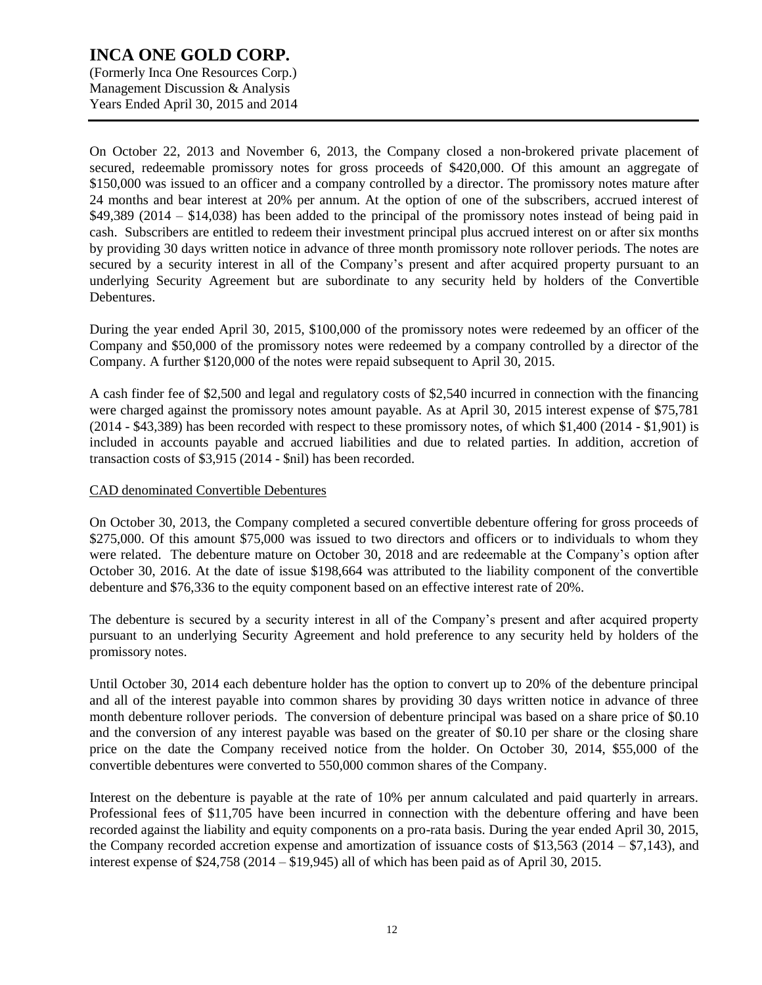(Formerly Inca One Resources Corp.) Management Discussion & Analysis Years Ended April 30, 2015 and 2014

On October 22, 2013 and November 6, 2013, the Company closed a non-brokered private placement of secured, redeemable promissory notes for gross proceeds of \$420,000. Of this amount an aggregate of \$150,000 was issued to an officer and a company controlled by a director. The promissory notes mature after 24 months and bear interest at 20% per annum. At the option of one of the subscribers, accrued interest of \$49,389 (2014 – \$14,038) has been added to the principal of the promissory notes instead of being paid in cash. Subscribers are entitled to redeem their investment principal plus accrued interest on or after six months by providing 30 days written notice in advance of three month promissory note rollover periods. The notes are secured by a security interest in all of the Company's present and after acquired property pursuant to an underlying Security Agreement but are subordinate to any security held by holders of the Convertible Debentures.

During the year ended April 30, 2015, \$100,000 of the promissory notes were redeemed by an officer of the Company and \$50,000 of the promissory notes were redeemed by a company controlled by a director of the Company. A further \$120,000 of the notes were repaid subsequent to April 30, 2015.

A cash finder fee of \$2,500 and legal and regulatory costs of \$2,540 incurred in connection with the financing were charged against the promissory notes amount payable. As at April 30, 2015 interest expense of \$75,781 (2014 - \$43,389) has been recorded with respect to these promissory notes, of which \$1,400 (2014 - \$1,901) is included in accounts payable and accrued liabilities and due to related parties. In addition, accretion of transaction costs of \$3,915 (2014 - \$nil) has been recorded.

### CAD denominated Convertible Debentures

On October 30, 2013, the Company completed a secured convertible debenture offering for gross proceeds of \$275,000. Of this amount \$75,000 was issued to two directors and officers or to individuals to whom they were related. The debenture mature on October 30, 2018 and are redeemable at the Company's option after October 30, 2016. At the date of issue \$198,664 was attributed to the liability component of the convertible debenture and \$76,336 to the equity component based on an effective interest rate of 20%.

The debenture is secured by a security interest in all of the Company's present and after acquired property pursuant to an underlying Security Agreement and hold preference to any security held by holders of the promissory notes.

Until October 30, 2014 each debenture holder has the option to convert up to 20% of the debenture principal and all of the interest payable into common shares by providing 30 days written notice in advance of three month debenture rollover periods. The conversion of debenture principal was based on a share price of \$0.10 and the conversion of any interest payable was based on the greater of \$0.10 per share or the closing share price on the date the Company received notice from the holder. On October 30, 2014, \$55,000 of the convertible debentures were converted to 550,000 common shares of the Company.

Interest on the debenture is payable at the rate of 10% per annum calculated and paid quarterly in arrears. Professional fees of \$11,705 have been incurred in connection with the debenture offering and have been recorded against the liability and equity components on a pro-rata basis. During the year ended April 30, 2015, the Company recorded accretion expense and amortization of issuance costs of \$13,563 (2014 – \$7,143), and interest expense of \$24,758 (2014 – \$19,945) all of which has been paid as of April 30, 2015.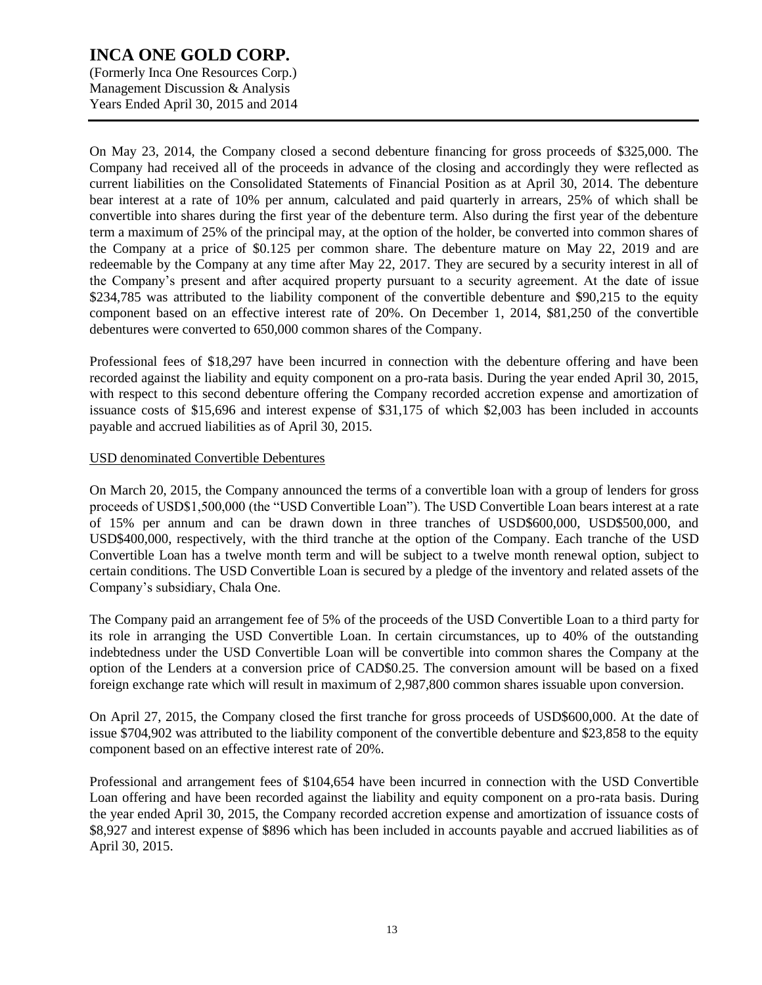(Formerly Inca One Resources Corp.) Management Discussion & Analysis Years Ended April 30, 2015 and 2014

On May 23, 2014, the Company closed a second debenture financing for gross proceeds of \$325,000. The Company had received all of the proceeds in advance of the closing and accordingly they were reflected as current liabilities on the Consolidated Statements of Financial Position as at April 30, 2014. The debenture bear interest at a rate of 10% per annum, calculated and paid quarterly in arrears, 25% of which shall be convertible into shares during the first year of the debenture term. Also during the first year of the debenture term a maximum of 25% of the principal may, at the option of the holder, be converted into common shares of the Company at a price of \$0.125 per common share. The debenture mature on May 22, 2019 and are redeemable by the Company at any time after May 22, 2017. They are secured by a security interest in all of the Company's present and after acquired property pursuant to a security agreement. At the date of issue \$234,785 was attributed to the liability component of the convertible debenture and \$90,215 to the equity component based on an effective interest rate of 20%. On December 1, 2014, \$81,250 of the convertible debentures were converted to 650,000 common shares of the Company.

Professional fees of \$18,297 have been incurred in connection with the debenture offering and have been recorded against the liability and equity component on a pro-rata basis. During the year ended April 30, 2015, with respect to this second debenture offering the Company recorded accretion expense and amortization of issuance costs of \$15,696 and interest expense of \$31,175 of which \$2,003 has been included in accounts payable and accrued liabilities as of April 30, 2015.

### USD denominated Convertible Debentures

On March 20, 2015, the Company announced the terms of a convertible loan with a group of lenders for gross proceeds of USD\$1,500,000 (the "USD Convertible Loan"). The USD Convertible Loan bears interest at a rate of 15% per annum and can be drawn down in three tranches of USD\$600,000, USD\$500,000, and USD\$400,000, respectively, with the third tranche at the option of the Company. Each tranche of the USD Convertible Loan has a twelve month term and will be subject to a twelve month renewal option, subject to certain conditions. The USD Convertible Loan is secured by a pledge of the inventory and related assets of the Company's subsidiary, Chala One.

The Company paid an arrangement fee of 5% of the proceeds of the USD Convertible Loan to a third party for its role in arranging the USD Convertible Loan. In certain circumstances, up to 40% of the outstanding indebtedness under the USD Convertible Loan will be convertible into common shares the Company at the option of the Lenders at a conversion price of CAD\$0.25. The conversion amount will be based on a fixed foreign exchange rate which will result in maximum of 2,987,800 common shares issuable upon conversion.

On April 27, 2015, the Company closed the first tranche for gross proceeds of USD\$600,000. At the date of issue \$704,902 was attributed to the liability component of the convertible debenture and \$23,858 to the equity component based on an effective interest rate of 20%.

Professional and arrangement fees of \$104,654 have been incurred in connection with the USD Convertible Loan offering and have been recorded against the liability and equity component on a pro-rata basis. During the year ended April 30, 2015, the Company recorded accretion expense and amortization of issuance costs of \$8,927 and interest expense of \$896 which has been included in accounts payable and accrued liabilities as of April 30, 2015.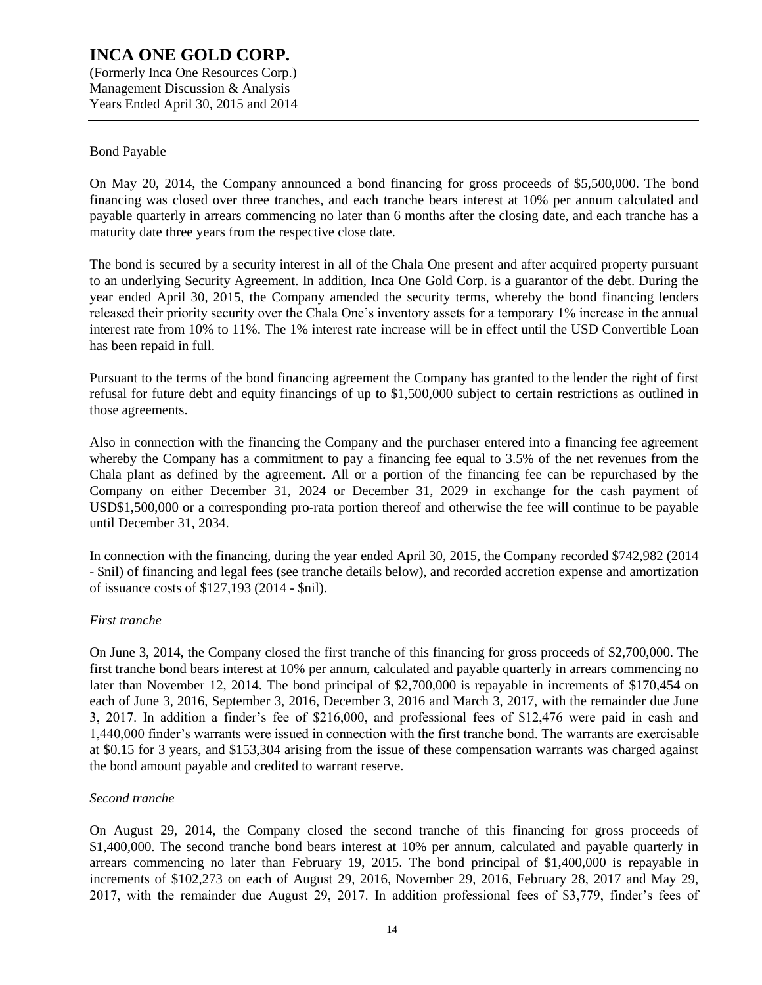(Formerly Inca One Resources Corp.) Management Discussion & Analysis Years Ended April 30, 2015 and 2014

#### Bond Payable

On May 20, 2014, the Company announced a bond financing for gross proceeds of \$5,500,000. The bond financing was closed over three tranches, and each tranche bears interest at 10% per annum calculated and payable quarterly in arrears commencing no later than 6 months after the closing date, and each tranche has a maturity date three years from the respective close date.

The bond is secured by a security interest in all of the Chala One present and after acquired property pursuant to an underlying Security Agreement. In addition, Inca One Gold Corp. is a guarantor of the debt. During the year ended April 30, 2015, the Company amended the security terms, whereby the bond financing lenders released their priority security over the Chala One's inventory assets for a temporary 1% increase in the annual interest rate from 10% to 11%. The 1% interest rate increase will be in effect until the USD Convertible Loan has been repaid in full.

Pursuant to the terms of the bond financing agreement the Company has granted to the lender the right of first refusal for future debt and equity financings of up to \$1,500,000 subject to certain restrictions as outlined in those agreements.

Also in connection with the financing the Company and the purchaser entered into a financing fee agreement whereby the Company has a commitment to pay a financing fee equal to 3.5% of the net revenues from the Chala plant as defined by the agreement. All or a portion of the financing fee can be repurchased by the Company on either December 31, 2024 or December 31, 2029 in exchange for the cash payment of USD\$1,500,000 or a corresponding pro-rata portion thereof and otherwise the fee will continue to be payable until December 31, 2034.

In connection with the financing, during the year ended April 30, 2015, the Company recorded \$742,982 (2014 - \$nil) of financing and legal fees (see tranche details below), and recorded accretion expense and amortization of issuance costs of \$127,193 (2014 - \$nil).

#### *First tranche*

On June 3, 2014, the Company closed the first tranche of this financing for gross proceeds of \$2,700,000. The first tranche bond bears interest at 10% per annum, calculated and payable quarterly in arrears commencing no later than November 12, 2014. The bond principal of \$2,700,000 is repayable in increments of \$170,454 on each of June 3, 2016, September 3, 2016, December 3, 2016 and March 3, 2017, with the remainder due June 3, 2017. In addition a finder's fee of \$216,000, and professional fees of \$12,476 were paid in cash and 1,440,000 finder's warrants were issued in connection with the first tranche bond. The warrants are exercisable at \$0.15 for 3 years, and \$153,304 arising from the issue of these compensation warrants was charged against the bond amount payable and credited to warrant reserve.

#### *Second tranche*

On August 29, 2014, the Company closed the second tranche of this financing for gross proceeds of \$1,400,000. The second tranche bond bears interest at 10% per annum, calculated and payable quarterly in arrears commencing no later than February 19, 2015. The bond principal of \$1,400,000 is repayable in increments of \$102,273 on each of August 29, 2016, November 29, 2016, February 28, 2017 and May 29, 2017, with the remainder due August 29, 2017. In addition professional fees of \$3,779, finder's fees of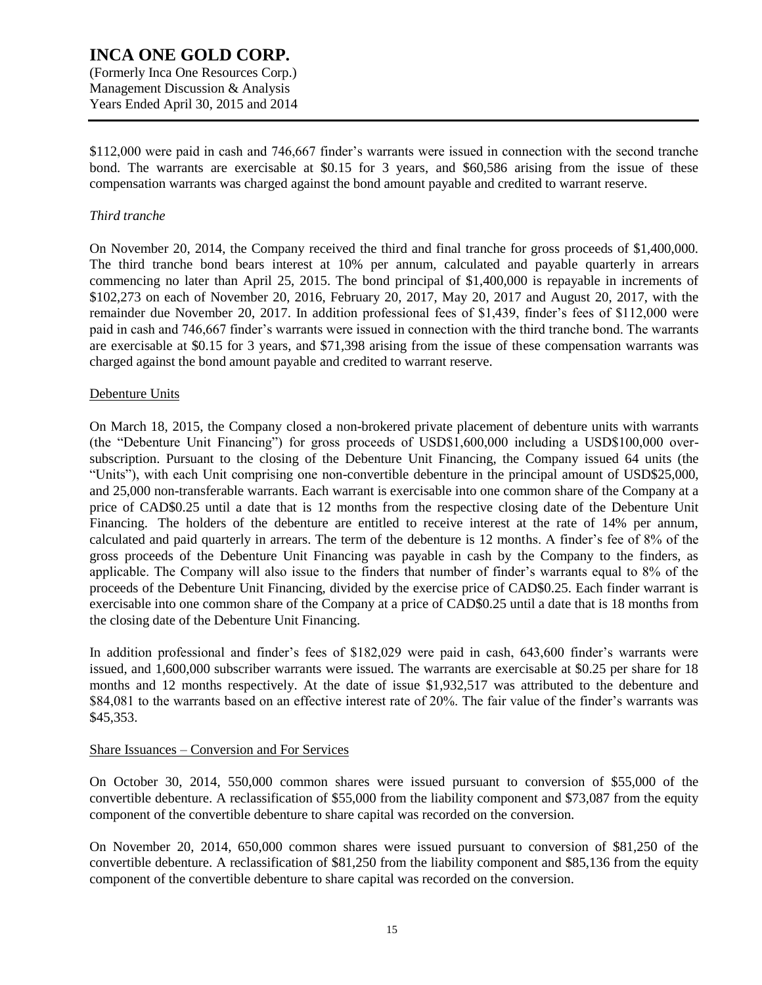\$112,000 were paid in cash and 746,667 finder's warrants were issued in connection with the second tranche bond. The warrants are exercisable at \$0.15 for 3 years, and \$60,586 arising from the issue of these compensation warrants was charged against the bond amount payable and credited to warrant reserve.

#### *Third tranche*

On November 20, 2014, the Company received the third and final tranche for gross proceeds of \$1,400,000. The third tranche bond bears interest at 10% per annum, calculated and payable quarterly in arrears commencing no later than April 25, 2015. The bond principal of \$1,400,000 is repayable in increments of \$102,273 on each of November 20, 2016, February 20, 2017, May 20, 2017 and August 20, 2017, with the remainder due November 20, 2017. In addition professional fees of \$1,439, finder's fees of \$112,000 were paid in cash and 746,667 finder's warrants were issued in connection with the third tranche bond. The warrants are exercisable at \$0.15 for 3 years, and \$71,398 arising from the issue of these compensation warrants was charged against the bond amount payable and credited to warrant reserve.

#### Debenture Units

On March 18, 2015, the Company closed a non-brokered private placement of debenture units with warrants (the "Debenture Unit Financing") for gross proceeds of USD\$1,600,000 including a USD\$100,000 oversubscription. Pursuant to the closing of the Debenture Unit Financing, the Company issued 64 units (the "Units"), with each Unit comprising one non-convertible debenture in the principal amount of USD\$25,000, and 25,000 non-transferable warrants. Each warrant is exercisable into one common share of the Company at a price of CAD\$0.25 until a date that is 12 months from the respective closing date of the Debenture Unit Financing. The holders of the debenture are entitled to receive interest at the rate of 14% per annum, calculated and paid quarterly in arrears. The term of the debenture is 12 months. A finder's fee of 8% of the gross proceeds of the Debenture Unit Financing was payable in cash by the Company to the finders, as applicable. The Company will also issue to the finders that number of finder's warrants equal to 8% of the proceeds of the Debenture Unit Financing, divided by the exercise price of CAD\$0.25. Each finder warrant is exercisable into one common share of the Company at a price of CAD\$0.25 until a date that is 18 months from the closing date of the Debenture Unit Financing.

In addition professional and finder's fees of \$182,029 were paid in cash, 643,600 finder's warrants were issued, and 1,600,000 subscriber warrants were issued. The warrants are exercisable at \$0.25 per share for 18 months and 12 months respectively. At the date of issue \$1,932,517 was attributed to the debenture and \$84,081 to the warrants based on an effective interest rate of 20%. The fair value of the finder's warrants was \$45,353.

#### Share Issuances – Conversion and For Services

On October 30, 2014, 550,000 common shares were issued pursuant to conversion of \$55,000 of the convertible debenture. A reclassification of \$55,000 from the liability component and \$73,087 from the equity component of the convertible debenture to share capital was recorded on the conversion.

On November 20, 2014, 650,000 common shares were issued pursuant to conversion of \$81,250 of the convertible debenture. A reclassification of \$81,250 from the liability component and \$85,136 from the equity component of the convertible debenture to share capital was recorded on the conversion.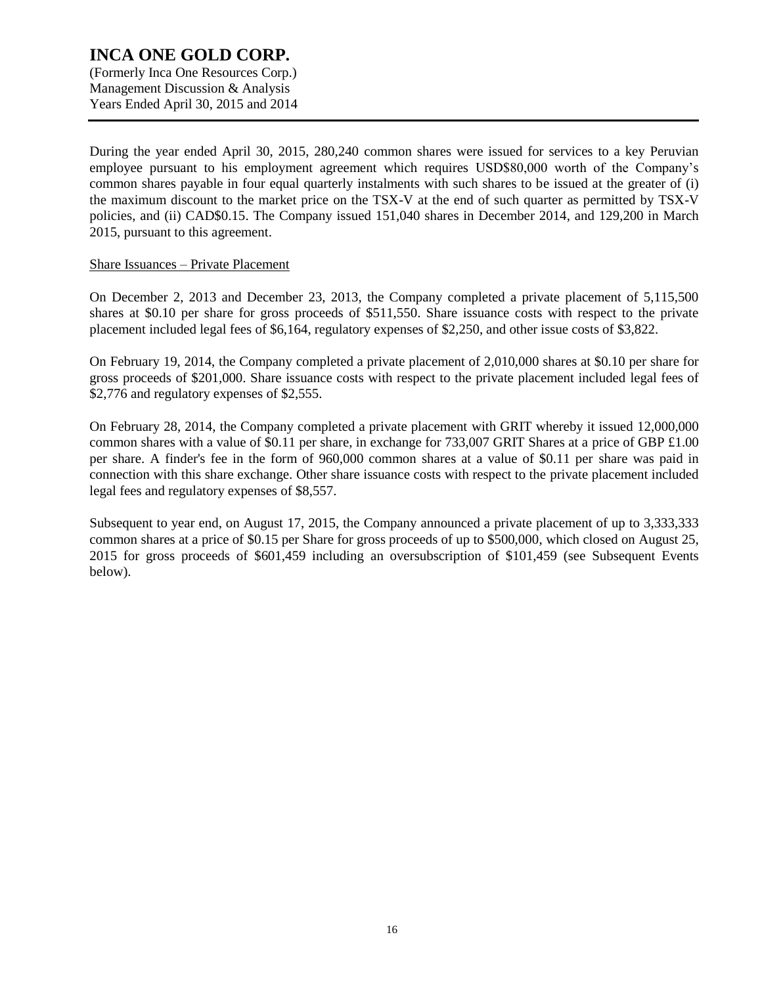(Formerly Inca One Resources Corp.) Management Discussion & Analysis Years Ended April 30, 2015 and 2014

During the year ended April 30, 2015, 280,240 common shares were issued for services to a key Peruvian employee pursuant to his employment agreement which requires USD\$80,000 worth of the Company's common shares payable in four equal quarterly instalments with such shares to be issued at the greater of (i) the maximum discount to the market price on the TSX-V at the end of such quarter as permitted by TSX-V policies, and (ii) CAD\$0.15. The Company issued 151,040 shares in December 2014, and 129,200 in March 2015, pursuant to this agreement.

#### Share Issuances – Private Placement

On December 2, 2013 and December 23, 2013, the Company completed a private placement of 5,115,500 shares at \$0.10 per share for gross proceeds of \$511,550. Share issuance costs with respect to the private placement included legal fees of \$6,164, regulatory expenses of \$2,250, and other issue costs of \$3,822.

On February 19, 2014, the Company completed a private placement of 2,010,000 shares at \$0.10 per share for gross proceeds of \$201,000. Share issuance costs with respect to the private placement included legal fees of \$2,776 and regulatory expenses of \$2,555.

On February 28, 2014, the Company completed a private placement with GRIT whereby it issued 12,000,000 common shares with a value of \$0.11 per share, in exchange for  $733,007$  GRIT Shares at a price of GBP  $\text{\pounds}1.00$ per share. A finder's fee in the form of 960,000 common shares at a value of \$0.11 per share was paid in connection with this share exchange. Other share issuance costs with respect to the private placement included legal fees and regulatory expenses of \$8,557.

Subsequent to year end, on August 17, 2015, the Company announced a private placement of up to 3,333,333 common shares at a price of \$0.15 per Share for gross proceeds of up to \$500,000, which closed on August 25, 2015 for gross proceeds of \$601,459 including an oversubscription of \$101,459 (see Subsequent Events below).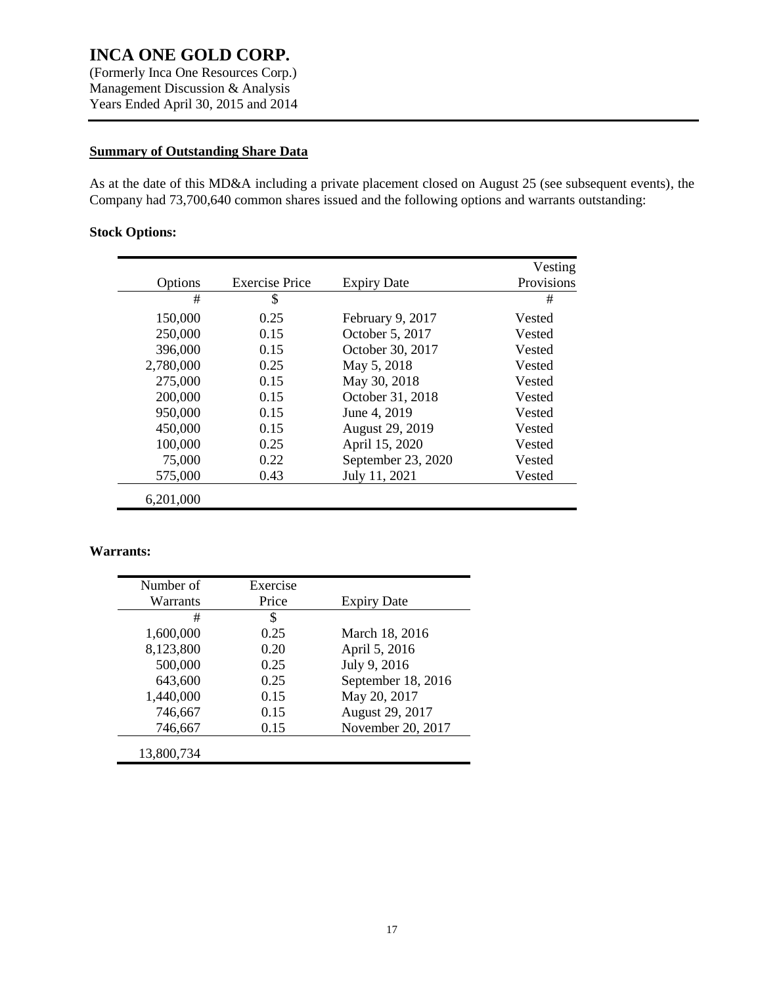(Formerly Inca One Resources Corp.) Management Discussion & Analysis Years Ended April 30, 2015 and 2014

### **Summary of Outstanding Share Data**

As at the date of this MD&A including a private placement closed on August 25 (see subsequent events), the Company had 73,700,640 common shares issued and the following options and warrants outstanding:

### **Stock Options:**

|           |                       |                    | Vesting    |
|-----------|-----------------------|--------------------|------------|
| Options   | <b>Exercise Price</b> | <b>Expiry Date</b> | Provisions |
| #         | \$                    |                    | #          |
| 150,000   | 0.25                  | February 9, 2017   | Vested     |
| 250,000   | 0.15                  | October 5, 2017    | Vested     |
| 396,000   | 0.15                  | October 30, 2017   | Vested     |
| 2,780,000 | 0.25                  | May 5, 2018        | Vested     |
| 275,000   | 0.15                  | May 30, 2018       | Vested     |
| 200,000   | 0.15                  | October 31, 2018   | Vested     |
| 950,000   | 0.15                  | June 4, 2019       | Vested     |
| 450,000   | 0.15                  | August 29, 2019    | Vested     |
| 100,000   | 0.25                  | April 15, 2020     | Vested     |
| 75,000    | 0.22                  | September 23, 2020 | Vested     |
| 575,000   | 0.43                  | July 11, 2021      | Vested     |
| 6,201,000 |                       |                    |            |

### **Warrants:**

| Number of  | Exercise |                    |
|------------|----------|--------------------|
| Warrants   | Price    | <b>Expiry Date</b> |
| #          | \$       |                    |
| 1,600,000  | 0.25     | March 18, 2016     |
| 8,123,800  | 0.20     | April 5, 2016      |
| 500,000    | 0.25     | July 9, 2016       |
| 643,600    | 0.25     | September 18, 2016 |
| 1,440,000  | 0.15     | May 20, 2017       |
| 746,667    | 0.15     | August 29, 2017    |
| 746,667    | 0.15     | November 20, 2017  |
| 13,800,734 |          |                    |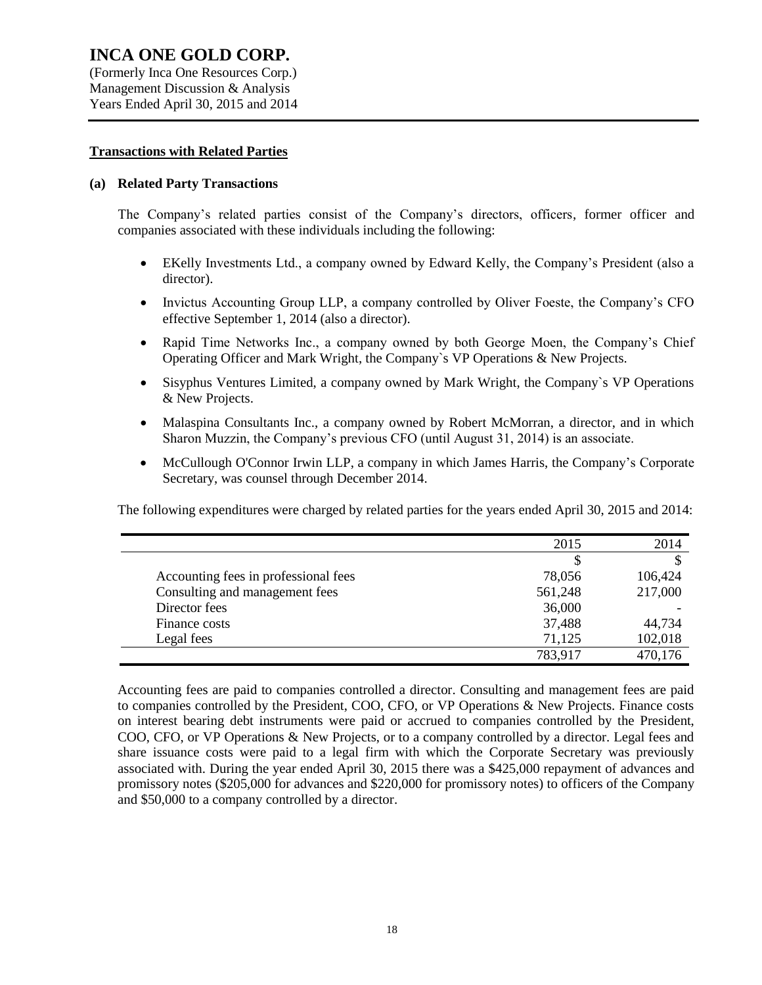(Formerly Inca One Resources Corp.) Management Discussion & Analysis Years Ended April 30, 2015 and 2014

#### **Transactions with Related Parties**

#### **(a) Related Party Transactions**

The Company's related parties consist of the Company's directors, officers, former officer and companies associated with these individuals including the following:

- EKelly Investments Ltd., a company owned by Edward Kelly, the Company's President (also a director).
- Invictus Accounting Group LLP, a company controlled by Oliver Foeste, the Company's CFO effective September 1, 2014 (also a director).
- Rapid Time Networks Inc., a company owned by both George Moen, the Company's Chief Operating Officer and Mark Wright, the Company`s VP Operations & New Projects.
- Sisyphus Ventures Limited, a company owned by Mark Wright, the Company`s VP Operations & New Projects.
- Malaspina Consultants Inc., a company owned by Robert McMorran, a director, and in which Sharon Muzzin, the Company's previous CFO (until August 31, 2014) is an associate.
- McCullough O'Connor Irwin LLP, a company in which James Harris, the Company's Corporate Secretary, was counsel through December 2014.

The following expenditures were charged by related parties for the years ended April 30, 2015 and 2014:

|                                      | 2015    | 2014    |
|--------------------------------------|---------|---------|
|                                      |         |         |
| Accounting fees in professional fees | 78,056  | 106,424 |
| Consulting and management fees       | 561,248 | 217,000 |
| Director fees                        | 36,000  |         |
| Finance costs                        | 37,488  | 44,734  |
| Legal fees                           | 71,125  | 102,018 |
|                                      | 783,917 | 470,176 |

Accounting fees are paid to companies controlled a director. Consulting and management fees are paid to companies controlled by the President, COO, CFO, or VP Operations & New Projects. Finance costs on interest bearing debt instruments were paid or accrued to companies controlled by the President, COO, CFO, or VP Operations & New Projects, or to a company controlled by a director. Legal fees and share issuance costs were paid to a legal firm with which the Corporate Secretary was previously associated with. During the year ended April 30, 2015 there was a \$425,000 repayment of advances and promissory notes (\$205,000 for advances and \$220,000 for promissory notes) to officers of the Company and \$50,000 to a company controlled by a director.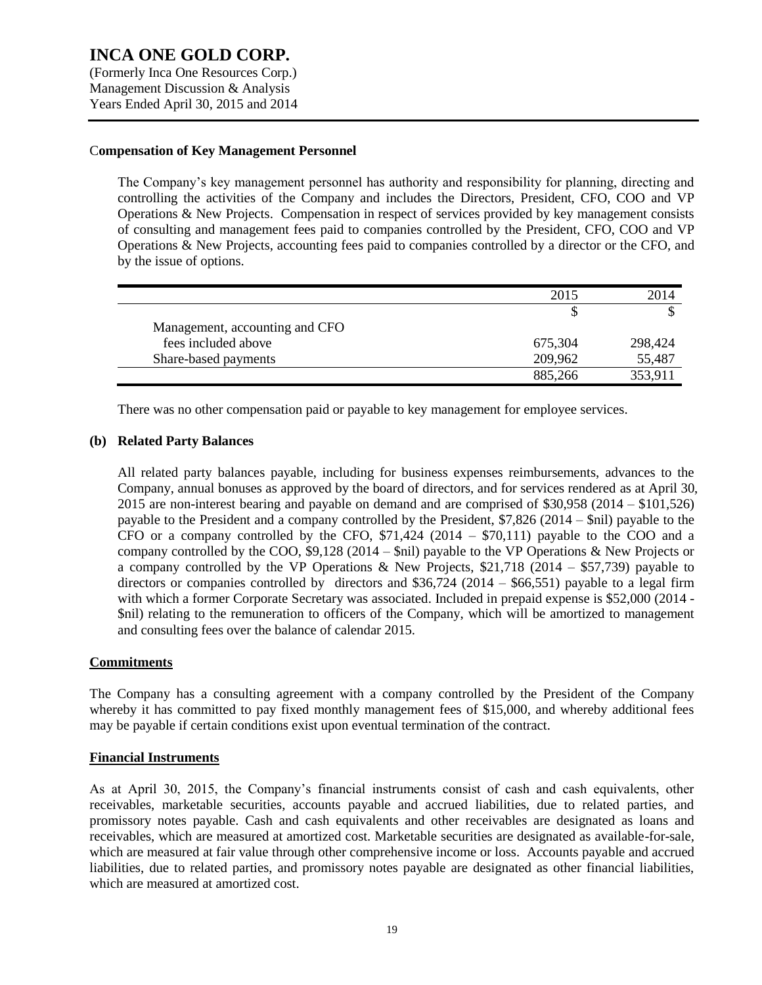(Formerly Inca One Resources Corp.) Management Discussion & Analysis Years Ended April 30, 2015 and 2014

#### C**ompensation of Key Management Personnel**

The Company's key management personnel has authority and responsibility for planning, directing and controlling the activities of the Company and includes the Directors, President, CFO, COO and VP Operations & New Projects. Compensation in respect of services provided by key management consists of consulting and management fees paid to companies controlled by the President, CFO, COO and VP Operations & New Projects, accounting fees paid to companies controlled by a director or the CFO, and by the issue of options.

|                                | 2015    | 2014    |
|--------------------------------|---------|---------|
|                                |         |         |
| Management, accounting and CFO |         |         |
| fees included above            | 675,304 | 298,424 |
| Share-based payments           | 209,962 | 55,487  |
|                                | 885,266 | 353.911 |

There was no other compensation paid or payable to key management for employee services.

#### **(b) Related Party Balances**

All related party balances payable, including for business expenses reimbursements, advances to the Company, annual bonuses as approved by the board of directors, and for services rendered as at April 30, 2015 are non-interest bearing and payable on demand and are comprised of \$30,958 (2014 – \$101,526) payable to the President and a company controlled by the President, \$7,826 (2014 – \$nil) payable to the CFO or a company controlled by the CFO,  $$71,424$  (2014 –  $$70,111$ ) payable to the COO and a company controlled by the COO, \$9,128 (2014 – \$nil) payable to the VP Operations & New Projects or a company controlled by the VP Operations & New Projects,  $$21,718$  (2014 – \$57,739) payable to directors or companies controlled by directors and  $$36,724$  (2014 –  $$66,551$ ) payable to a legal firm with which a former Corporate Secretary was associated. Included in prepaid expense is \$52,000 (2014 - \$nil) relating to the remuneration to officers of the Company, which will be amortized to management and consulting fees over the balance of calendar 2015.

#### **Commitments**

The Company has a consulting agreement with a company controlled by the President of the Company whereby it has committed to pay fixed monthly management fees of \$15,000, and whereby additional fees may be payable if certain conditions exist upon eventual termination of the contract.

#### **Financial Instruments**

As at April 30, 2015, the Company's financial instruments consist of cash and cash equivalents, other receivables, marketable securities, accounts payable and accrued liabilities, due to related parties, and promissory notes payable. Cash and cash equivalents and other receivables are designated as loans and receivables, which are measured at amortized cost. Marketable securities are designated as available-for-sale, which are measured at fair value through other comprehensive income or loss. Accounts payable and accrued liabilities, due to related parties, and promissory notes payable are designated as other financial liabilities, which are measured at amortized cost.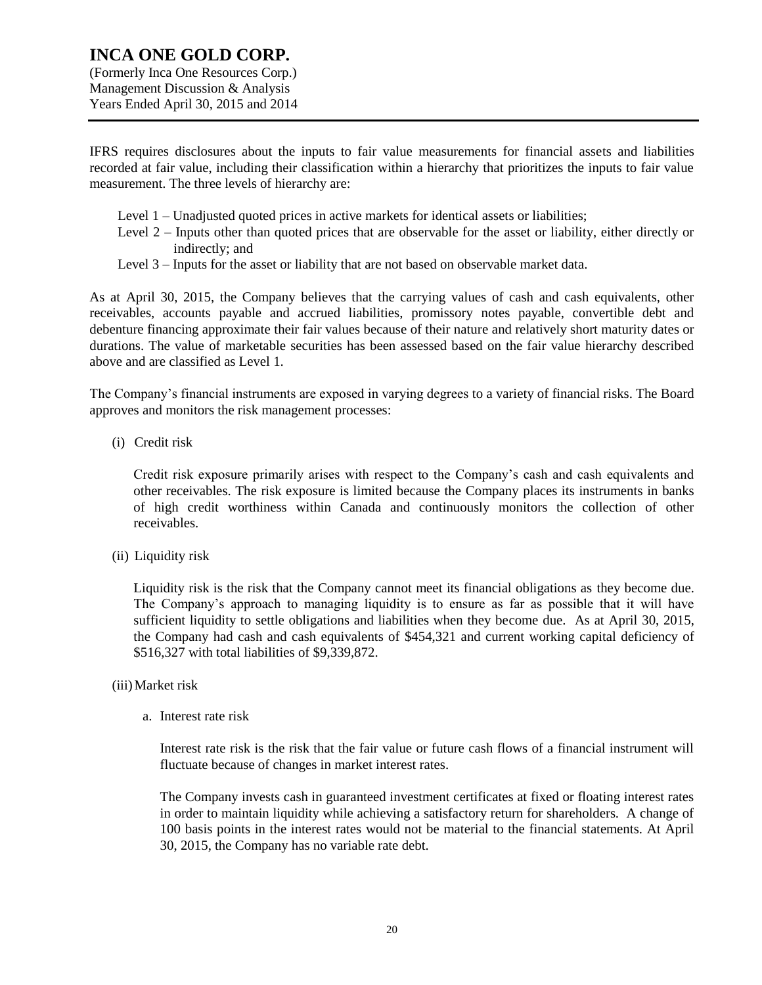Years Ended April 30, 2015 and 2014

IFRS requires disclosures about the inputs to fair value measurements for financial assets and liabilities recorded at fair value, including their classification within a hierarchy that prioritizes the inputs to fair value measurement. The three levels of hierarchy are:

- Level 1 Unadjusted quoted prices in active markets for identical assets or liabilities;
- Level 2 Inputs other than quoted prices that are observable for the asset or liability, either directly or indirectly; and
- Level 3 Inputs for the asset or liability that are not based on observable market data.

As at April 30, 2015, the Company believes that the carrying values of cash and cash equivalents, other receivables, accounts payable and accrued liabilities, promissory notes payable, convertible debt and debenture financing approximate their fair values because of their nature and relatively short maturity dates or durations. The value of marketable securities has been assessed based on the fair value hierarchy described above and are classified as Level 1.

The Company's financial instruments are exposed in varying degrees to a variety of financial risks. The Board approves and monitors the risk management processes:

(i) Credit risk

Credit risk exposure primarily arises with respect to the Company's cash and cash equivalents and other receivables. The risk exposure is limited because the Company places its instruments in banks of high credit worthiness within Canada and continuously monitors the collection of other receivables.

(ii) Liquidity risk

Liquidity risk is the risk that the Company cannot meet its financial obligations as they become due. The Company's approach to managing liquidity is to ensure as far as possible that it will have sufficient liquidity to settle obligations and liabilities when they become due. As at April 30, 2015, the Company had cash and cash equivalents of \$454,321 and current working capital deficiency of \$516,327 with total liabilities of \$9,339,872.

#### (iii)Market risk

a. Interest rate risk

Interest rate risk is the risk that the fair value or future cash flows of a financial instrument will fluctuate because of changes in market interest rates.

The Company invests cash in guaranteed investment certificates at fixed or floating interest rates in order to maintain liquidity while achieving a satisfactory return for shareholders. A change of 100 basis points in the interest rates would not be material to the financial statements. At April 30, 2015, the Company has no variable rate debt.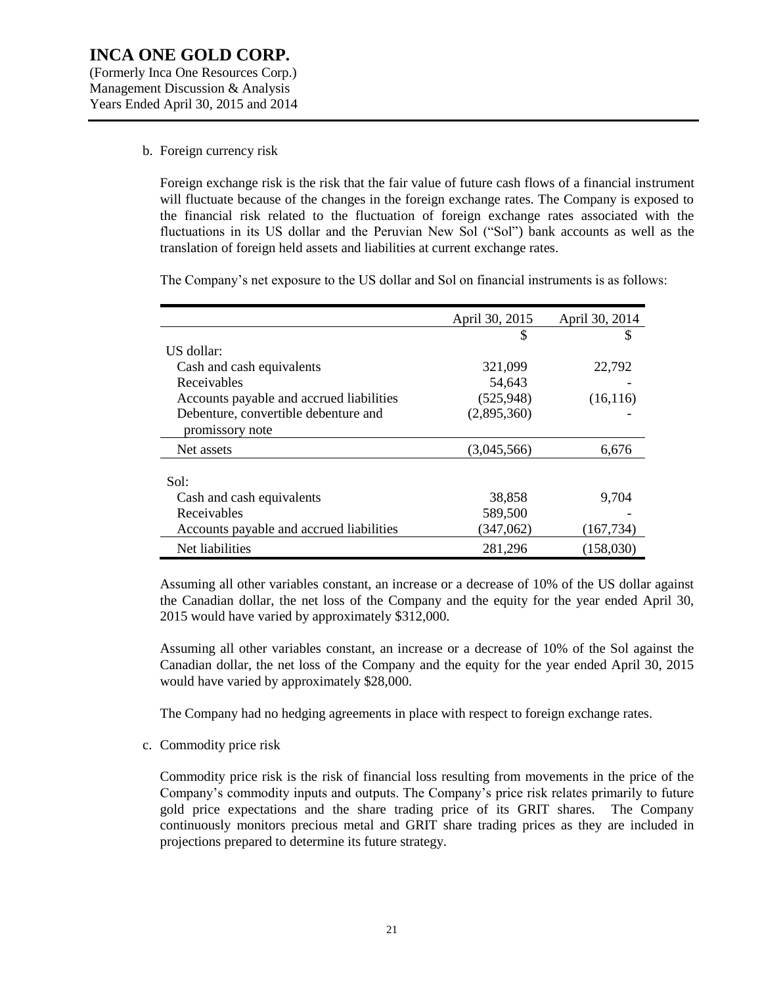#### b. Foreign currency risk

Foreign exchange risk is the risk that the fair value of future cash flows of a financial instrument will fluctuate because of the changes in the foreign exchange rates. The Company is exposed to the financial risk related to the fluctuation of foreign exchange rates associated with the fluctuations in its US dollar and the Peruvian New Sol ("Sol") bank accounts as well as the translation of foreign held assets and liabilities at current exchange rates.

The Company's net exposure to the US dollar and Sol on financial instruments is as follows:

|                                          | April 30, 2015 | April 30, 2014 |
|------------------------------------------|----------------|----------------|
|                                          | S              | S              |
| US dollar:                               |                |                |
| Cash and cash equivalents                | 321,099        | 22,792         |
| Receivables                              | 54,643         |                |
| Accounts payable and accrued liabilities | (525, 948)     | (16, 116)      |
| Debenture, convertible debenture and     | (2,895,360)    |                |
| promissory note                          |                |                |
| Net assets                               | (3.045.566)    | 6,676          |
|                                          |                |                |
| Sol:                                     |                |                |
| Cash and cash equivalents                | 38,858         | 9,704          |
| Receivables                              | 589,500        |                |
| Accounts payable and accrued liabilities | (347,062)      | (167, 734)     |
| Net liabilities                          | 281,296        | (158,030)      |

Assuming all other variables constant, an increase or a decrease of 10% of the US dollar against the Canadian dollar, the net loss of the Company and the equity for the year ended April 30, 2015 would have varied by approximately \$312,000.

Assuming all other variables constant, an increase or a decrease of 10% of the Sol against the Canadian dollar, the net loss of the Company and the equity for the year ended April 30, 2015 would have varied by approximately \$28,000.

The Company had no hedging agreements in place with respect to foreign exchange rates.

c. Commodity price risk

Commodity price risk is the risk of financial loss resulting from movements in the price of the Company's commodity inputs and outputs. The Company's price risk relates primarily to future gold price expectations and the share trading price of its GRIT shares. The Company continuously monitors precious metal and GRIT share trading prices as they are included in projections prepared to determine its future strategy.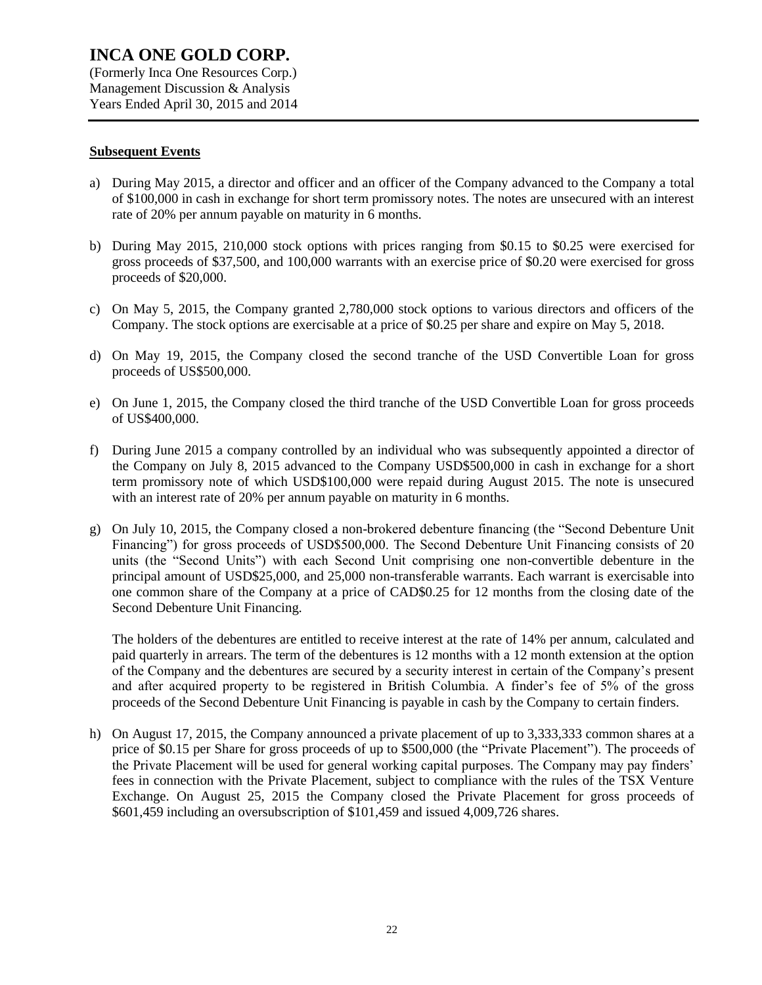Management Discussion & Analysis Years Ended April 30, 2015 and 2014

#### **Subsequent Events**

- a) During May 2015, a director and officer and an officer of the Company advanced to the Company a total of \$100,000 in cash in exchange for short term promissory notes. The notes are unsecured with an interest rate of 20% per annum payable on maturity in 6 months.
- b) During May 2015, 210,000 stock options with prices ranging from \$0.15 to \$0.25 were exercised for gross proceeds of \$37,500, and 100,000 warrants with an exercise price of \$0.20 were exercised for gross proceeds of \$20,000.
- c) On May 5, 2015, the Company granted 2,780,000 stock options to various directors and officers of the Company. The stock options are exercisable at a price of \$0.25 per share and expire on May 5, 2018.
- d) On May 19, 2015, the Company closed the second tranche of the USD Convertible Loan for gross proceeds of US\$500,000.
- e) On June 1, 2015, the Company closed the third tranche of the USD Convertible Loan for gross proceeds of US\$400,000.
- f) During June 2015 a company controlled by an individual who was subsequently appointed a director of the Company on July 8, 2015 advanced to the Company USD\$500,000 in cash in exchange for a short term promissory note of which USD\$100,000 were repaid during August 2015. The note is unsecured with an interest rate of 20% per annum payable on maturity in 6 months.
- g) On July 10, 2015, the Company closed a non-brokered debenture financing (the "Second Debenture Unit Financing") for gross proceeds of USD\$500,000. The Second Debenture Unit Financing consists of 20 units (the "Second Units") with each Second Unit comprising one non-convertible debenture in the principal amount of USD\$25,000, and 25,000 non-transferable warrants. Each warrant is exercisable into one common share of the Company at a price of CAD\$0.25 for 12 months from the closing date of the Second Debenture Unit Financing.

The holders of the debentures are entitled to receive interest at the rate of 14% per annum, calculated and paid quarterly in arrears. The term of the debentures is 12 months with a 12 month extension at the option of the Company and the debentures are secured by a security interest in certain of the Company's present and after acquired property to be registered in British Columbia. A finder's fee of 5% of the gross proceeds of the Second Debenture Unit Financing is payable in cash by the Company to certain finders.

h) On August 17, 2015, the Company announced a private placement of up to 3,333,333 common shares at a price of \$0.15 per Share for gross proceeds of up to \$500,000 (the "Private Placement"). The proceeds of the Private Placement will be used for general working capital purposes. The Company may pay finders' fees in connection with the Private Placement, subject to compliance with the rules of the TSX Venture Exchange. On August 25, 2015 the Company closed the Private Placement for gross proceeds of \$601,459 including an oversubscription of \$101,459 and issued 4,009,726 shares.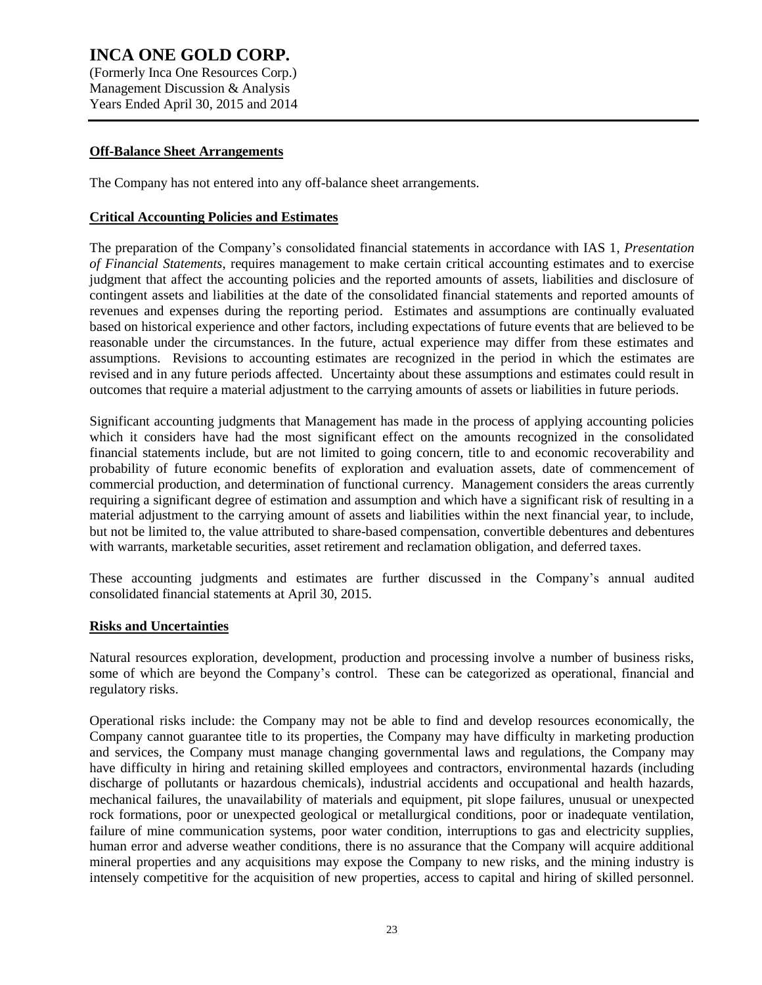(Formerly Inca One Resources Corp.) Management Discussion & Analysis Years Ended April 30, 2015 and 2014

#### **Off-Balance Sheet Arrangements**

The Company has not entered into any off-balance sheet arrangements.

#### **Critical Accounting Policies and Estimates**

The preparation of the Company's consolidated financial statements in accordance with IAS 1, *Presentation of Financial Statements*, requires management to make certain critical accounting estimates and to exercise judgment that affect the accounting policies and the reported amounts of assets, liabilities and disclosure of contingent assets and liabilities at the date of the consolidated financial statements and reported amounts of revenues and expenses during the reporting period. Estimates and assumptions are continually evaluated based on historical experience and other factors, including expectations of future events that are believed to be reasonable under the circumstances. In the future, actual experience may differ from these estimates and assumptions. Revisions to accounting estimates are recognized in the period in which the estimates are revised and in any future periods affected. Uncertainty about these assumptions and estimates could result in outcomes that require a material adjustment to the carrying amounts of assets or liabilities in future periods.

Significant accounting judgments that Management has made in the process of applying accounting policies which it considers have had the most significant effect on the amounts recognized in the consolidated financial statements include, but are not limited to going concern, title to and economic recoverability and probability of future economic benefits of exploration and evaluation assets, date of commencement of commercial production, and determination of functional currency. Management considers the areas currently requiring a significant degree of estimation and assumption and which have a significant risk of resulting in a material adjustment to the carrying amount of assets and liabilities within the next financial year, to include, but not be limited to, the value attributed to share-based compensation, convertible debentures and debentures with warrants, marketable securities, asset retirement and reclamation obligation, and deferred taxes.

These accounting judgments and estimates are further discussed in the Company's annual audited consolidated financial statements at April 30, 2015.

#### **Risks and Uncertainties**

Natural resources exploration, development, production and processing involve a number of business risks, some of which are beyond the Company's control. These can be categorized as operational, financial and regulatory risks.

Operational risks include: the Company may not be able to find and develop resources economically, the Company cannot guarantee title to its properties, the Company may have difficulty in marketing production and services, the Company must manage changing governmental laws and regulations, the Company may have difficulty in hiring and retaining skilled employees and contractors, environmental hazards (including discharge of pollutants or hazardous chemicals), industrial accidents and occupational and health hazards, mechanical failures, the unavailability of materials and equipment, pit slope failures, unusual or unexpected rock formations, poor or unexpected geological or metallurgical conditions, poor or inadequate ventilation, failure of mine communication systems, poor water condition, interruptions to gas and electricity supplies, human error and adverse weather conditions, there is no assurance that the Company will acquire additional mineral properties and any acquisitions may expose the Company to new risks, and the mining industry is intensely competitive for the acquisition of new properties, access to capital and hiring of skilled personnel.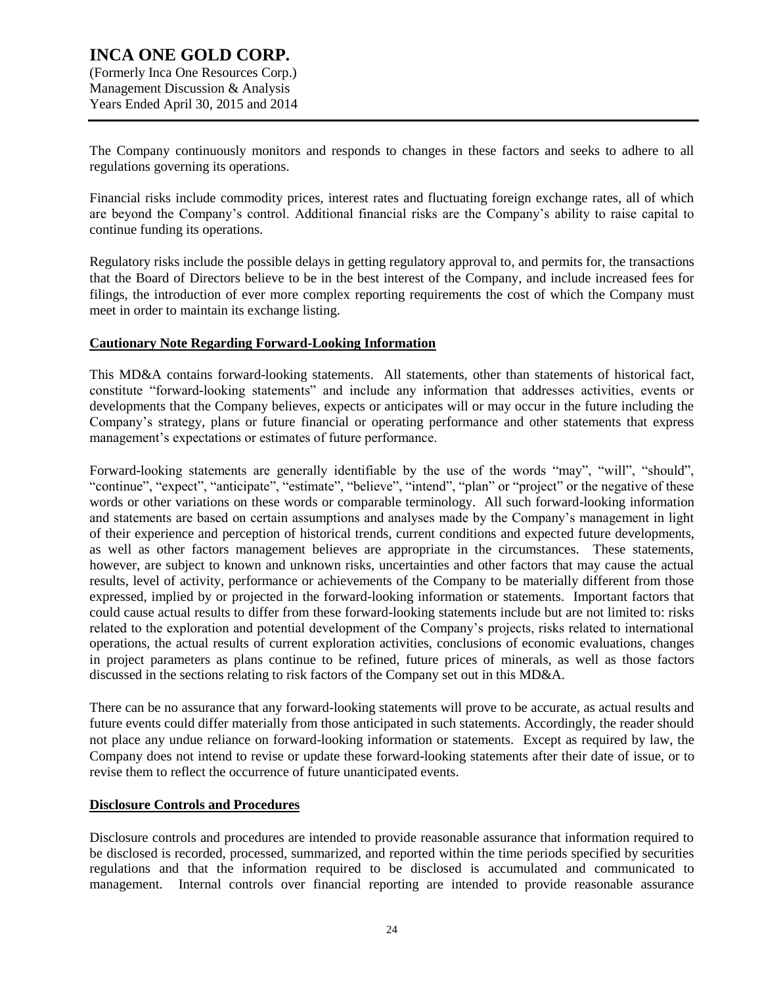# **INCA ONE GOLD CORP.** (Formerly Inca One Resources Corp.)

Management Discussion & Analysis Years Ended April 30, 2015 and 2014

The Company continuously monitors and responds to changes in these factors and seeks to adhere to all regulations governing its operations.

Financial risks include commodity prices, interest rates and fluctuating foreign exchange rates, all of which are beyond the Company's control. Additional financial risks are the Company's ability to raise capital to continue funding its operations.

Regulatory risks include the possible delays in getting regulatory approval to, and permits for, the transactions that the Board of Directors believe to be in the best interest of the Company, and include increased fees for filings, the introduction of ever more complex reporting requirements the cost of which the Company must meet in order to maintain its exchange listing.

## **Cautionary Note Regarding Forward-Looking Information**

This MD&A contains forward-looking statements. All statements, other than statements of historical fact, constitute "forward-looking statements" and include any information that addresses activities, events or developments that the Company believes, expects or anticipates will or may occur in the future including the Company's strategy, plans or future financial or operating performance and other statements that express management's expectations or estimates of future performance.

Forward-looking statements are generally identifiable by the use of the words "may", "will", "should", "continue", "expect", "anticipate", "estimate", "believe", "intend", "plan" or "project" or the negative of these words or other variations on these words or comparable terminology. All such forward-looking information and statements are based on certain assumptions and analyses made by the Company's management in light of their experience and perception of historical trends, current conditions and expected future developments, as well as other factors management believes are appropriate in the circumstances. These statements, however, are subject to known and unknown risks, uncertainties and other factors that may cause the actual results, level of activity, performance or achievements of the Company to be materially different from those expressed, implied by or projected in the forward-looking information or statements. Important factors that could cause actual results to differ from these forward-looking statements include but are not limited to: risks related to the exploration and potential development of the Company's projects, risks related to international operations, the actual results of current exploration activities, conclusions of economic evaluations, changes in project parameters as plans continue to be refined, future prices of minerals, as well as those factors discussed in the sections relating to risk factors of the Company set out in this MD&A.

There can be no assurance that any forward-looking statements will prove to be accurate, as actual results and future events could differ materially from those anticipated in such statements. Accordingly, the reader should not place any undue reliance on forward-looking information or statements. Except as required by law, the Company does not intend to revise or update these forward-looking statements after their date of issue, or to revise them to reflect the occurrence of future unanticipated events.

#### **Disclosure Controls and Procedures**

Disclosure controls and procedures are intended to provide reasonable assurance that information required to be disclosed is recorded, processed, summarized, and reported within the time periods specified by securities regulations and that the information required to be disclosed is accumulated and communicated to management. Internal controls over financial reporting are intended to provide reasonable assurance